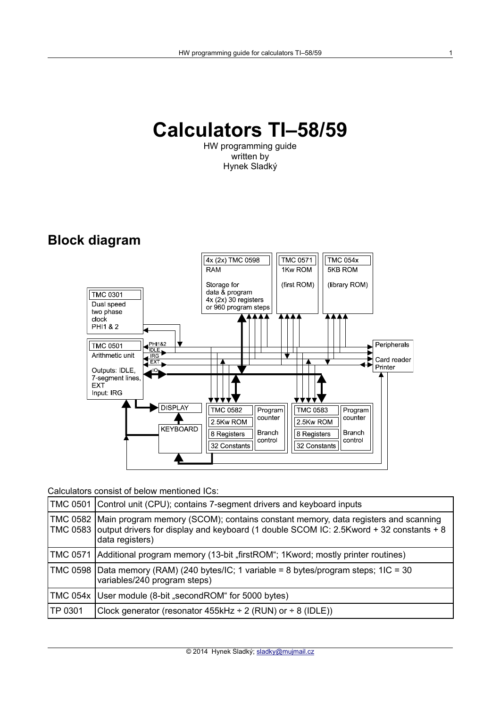# **Calculators TI–58/59**

HW programming guide written by Hynek Sladký

# **Block diagram**



Calculators consist of below mentioned ICs:

|         | TMC 0501 Control unit (CPU); contains 7-segment drivers and keyboard inputs                                                                                                                                        |
|---------|--------------------------------------------------------------------------------------------------------------------------------------------------------------------------------------------------------------------|
|         | TMC 0582   Main program memory (SCOM); contains constant memory, data registers and scanning<br>TMC 0583 output drivers for display and keyboard (1 double SCOM IC: 2.5Kword + 32 constants + 8<br>data registers) |
|         | TMC 0571   Additional program memory (13-bit "firstROM"; 1Kword; mostly printer routines)                                                                                                                          |
|         | TMC 0598   Data memory (RAM) (240 bytes/IC; 1 variable = 8 bytes/program steps; 1IC = 30<br>variables/240 program steps)                                                                                           |
|         | TMC 054x User module (8-bit "secondROM" for 5000 bytes)                                                                                                                                                            |
| TP 0301 | Clock generator (resonator $455kHz \div 2$ (RUN) or $\div 8$ (IDLE))                                                                                                                                               |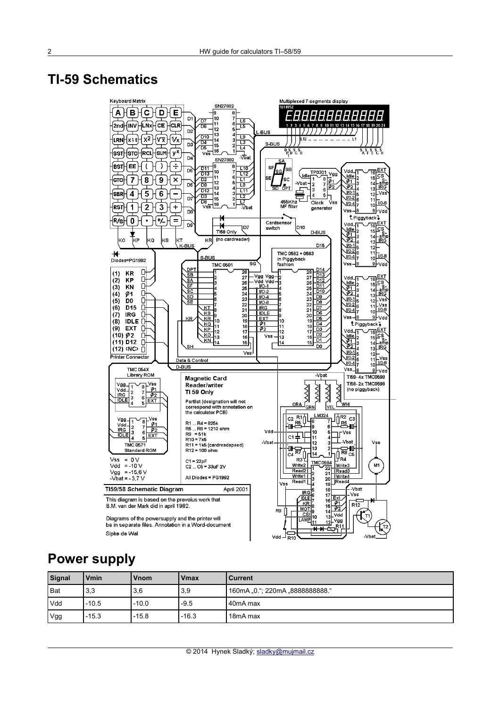## **TI-59 Schematics**



### **Power supply**

| Signal     | <b>V</b> min | Vnom    | <b>Vmax</b> | <b>Current</b>                  |
|------------|--------------|---------|-------------|---------------------------------|
| l Bat      | 3,3          | 3,6     | 3,9         | 160mA "0."; 220mA "8888888888." |
| <b>Vdd</b> | $-10.5$      | $-10.0$ | $-9.5$      | 40mA max                        |
| Vgg        | $-15.3$      | $-15.8$ | $-16.3$     | 18mA max                        |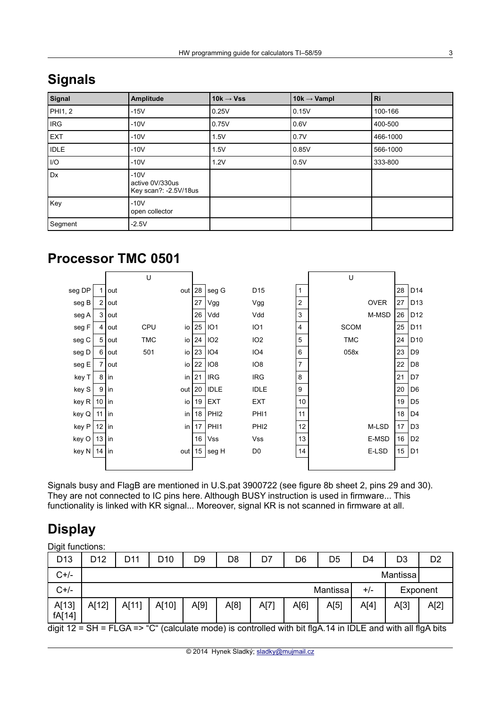| Signal      | Amplitude                                          | 10 $k \rightarrow V$ ss | 10k $\rightarrow$ Vampl | Ri       |
|-------------|----------------------------------------------------|-------------------------|-------------------------|----------|
| PHI1, 2     | $-15V$                                             | 0.25V                   | 0.15V                   | 100-166  |
| <b>IRG</b>  | $-10V$                                             | 0.75V                   | 0.6V                    | 400-500  |
| <b>EXT</b>  | $-10V$                                             | 1.5V                    | 0.7V                    | 466-1000 |
| <b>IDLE</b> | $-10V$                                             | 1.5V                    | 0.85V                   | 566-1000 |
| I/O         | $-10V$                                             | 1.2V                    | 0.5V                    | 333-800  |
| Dx          | $-10V$<br>active 0V/330us<br>Key scan?: -2.5V/18us |                         |                         |          |
| Key         | $-10V$<br>open collector                           |                         |                         |          |
| Segment     | $-2.5V$                                            |                         |                         |          |

# **Signals**

# **Processor TMC 0501**



Signals busy and FlagB are mentioned in U.S.pat 3900722 (see figure 8b sheet 2, pins 29 and 30). They are not connected to IC pins here. Although BUSY instruction is used in firmware... This functionality is linked with KR signal... Moreover, signal KR is not scanned in firmware at all.

# **Display**

Digit functions:

| D <sub>13</sub> | D <sub>12</sub> | D <sub>11</sub>               | D10   | D <sub>9</sub> | D <sub>8</sub> | D7   | D <sub>6</sub> | D <sub>5</sub> | D4   | D3   | D2 |  |  |  |
|-----------------|-----------------|-------------------------------|-------|----------------|----------------|------|----------------|----------------|------|------|----|--|--|--|
| $C+/-$          |                 | Mantissa                      |       |                |                |      |                |                |      |      |    |  |  |  |
| $C+/-$          |                 | Mantissa<br>Exponent<br>$+/-$ |       |                |                |      |                |                |      |      |    |  |  |  |
| A[13]<br>fA[14] | A[12]           | A[11]                         | A[10] | A[9]           | A[8]           | A[7] | A[6]           | A[5]           | A[4] | A[2] |    |  |  |  |

digit 12 = SH = FLGA => "C" (calculate mode) is controlled with bit flgA.14 in IDLE and with all flgA bits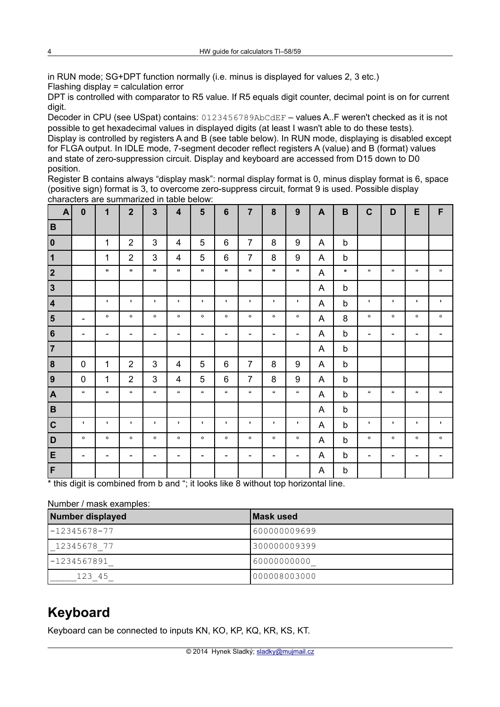in RUN mode; SG+DPT function normally (i.e. minus is displayed for values 2, 3 etc.) Flashing display = calculation error

DPT is controlled with comparator to R5 value. If R5 equals digit counter, decimal point is on for current digit.

Decoder in CPU (see USpat) contains: 0123456789AbCdEF - values A. F weren't checked as it is not possible to get hexadecimal values in displayed digits (at least I wasn't able to do these tests).

Display is controlled by registers A and B (see table below). In RUN mode, displaying is disabled except for FLGA output. In IDLE mode, 7-segment decoder reflect registers A (value) and B (format) values and state of zero-suppression circuit. Display and keyboard are accessed from D15 down to D0 position.

Register B contains always "display mask": normal display format is 0, minus display format is 6, space (positive sign) format is 3, to overcome zero-suppress circuit, format 9 is used. Possible display characters are summarized in table below:

| $\mathbf{A}$            | $\mathbf 0$              | 1                            | $\overline{2}$           | $\overline{3}$           | $\overline{\mathbf{4}}$  | $5\phantom{1}$               | $6\phantom{1}$           | $\overline{7}$           | 8                        | 9                            | $\mathbf{A}$ | B            | $\mathbf c$              | D                            | E                    | F                                      |
|-------------------------|--------------------------|------------------------------|--------------------------|--------------------------|--------------------------|------------------------------|--------------------------|--------------------------|--------------------------|------------------------------|--------------|--------------|--------------------------|------------------------------|----------------------|----------------------------------------|
| B                       |                          |                              |                          |                          |                          |                              |                          |                          |                          |                              |              |              |                          |                              |                      |                                        |
| $ 0\rangle$             |                          | 1                            | $\overline{2}$           | 3                        | 4                        | 5                            | 6                        | $\overline{7}$           | 8                        | $\boldsymbol{9}$             | A            | $\mathsf b$  |                          |                              |                      |                                        |
| $\vert$ 1               |                          | 1                            | $\overline{2}$           | 3                        | 4                        | 5                            | 6                        | $\overline{7}$           | 8                        | $\boldsymbol{9}$             | A            | $\mathbf b$  |                          |                              |                      |                                        |
| $\vert$ 2               |                          | $\mathbf{H}$                 | $\mathbf{H}$             | $\mathbf{H}$ .           | $\mathbf H$              | $\mathbf{H}$                 | $\mathbf{H}$             | $\mathbf{H}$             | $\mathbf{H}$             | $\mathbf{u}$                 | A            | $\star$      | $\epsilon\epsilon$       | $\Omega$                     | $\epsilon\epsilon$   | $\Omega$                               |
| $\vert$ 3               |                          |                              |                          |                          |                          |                              |                          |                          |                          |                              | A            | $\mathsf b$  |                          |                              |                      |                                        |
| 4                       |                          | $\mathbf{F}$                 | $\mathbf{I}$             | $\mathbf{L}$             | $\mathbf{I}$             | $\mathbf{I}$                 | $\mathbf{I}$             | $\mathbf{I}$             | $\mathbf{I}$             | $\blacksquare$               | A            | $\mathsf b$  | $\mathbf{I}$             | $\mathbf{I}$                 | $\mathbf{I}$         | $\mathbf{I}$                           |
| $\overline{\mathbf{5}}$ | $\overline{\phantom{a}}$ | $\circ$                      | $\circ$                  | $\circ$                  | $\circ$                  | $\circ$                      | $\circ$                  | $\circ$                  | $\circ$                  | $\circ$                      | A            | 8            | $\circ$                  | $\circ$                      | $\circ$              | $\circ$                                |
| 6                       | $\overline{\phantom{a}}$ | $\qquad \qquad \blacksquare$ | $\overline{\phantom{a}}$ | $\overline{\phantom{a}}$ | -                        | $\overline{\phantom{a}}$     | $\overline{\phantom{a}}$ | $\overline{\phantom{0}}$ | $\overline{\phantom{a}}$ | $\overline{\phantom{0}}$     | A            | $\mathsf b$  | $\overline{\phantom{a}}$ | $\overline{\phantom{a}}$     | -                    |                                        |
| $\overline{7}$          |                          |                              |                          |                          |                          |                              |                          |                          |                          |                              | A            | b            |                          |                              |                      |                                        |
| 8                       | $\mathbf 0$              | $\mathbf{1}$                 | $\overline{2}$           | 3                        | 4                        | 5                            | $6\phantom{1}$           | $\overline{7}$           | 8                        | 9                            | A            | $\mathsf b$  |                          |                              |                      |                                        |
| 9                       | $\mathbf 0$              | $\mathbf{1}$                 | $\overline{2}$           | 3                        | 4                        | 5                            | $6\phantom{1}$           | $\overline{7}$           | 8                        | 9                            | A            | $\mathsf b$  |                          |                              |                      |                                        |
| A                       | $\epsilon\epsilon$       | $\epsilon\epsilon$           | $\alpha$                 | $\alpha$                 | $\alpha$                 | $\epsilon\epsilon$           | $\epsilon\epsilon$       | $\mathbf{u}$             | $\alpha$                 | $\alpha$                     | A            | $\mathsf{b}$ | $\epsilon\epsilon$       | $\pmb{\mathfrak{c}}$         | $\pmb{\mathfrak{u}}$ | $\pmb{\mathfrak{c}}\pmb{\mathfrak{c}}$ |
| B                       |                          |                              |                          |                          |                          |                              |                          |                          |                          |                              | A            | $\mathsf b$  |                          |                              |                      |                                        |
| $ {\bf c} $             | $\mathbf{L}$             | $\mathbf{I}$                 | $\mathbf{I}$             | $\mathbf{I}$             | $\mathbf{I}$             | $\mathbf{I}$                 | $\mathbf{I}$             | $\mathbf{I}$             | $\mathbf{I}$             | ٠,                           | A            | $\mathsf b$  | $\mathbf{I}$             | $\mathbf{I}$                 | $\blacksquare$       | $\mathbf{I}$                           |
| D                       | $\circ$                  | $\circ$                      | $\circ$                  | $\circ$                  | $\circ$                  | $\circ$                      | $\circ$                  | $\circ$                  | $\circ$                  | $\circ$                      | A            | b            | $\circ$                  | $\circ$                      | $\circ$              | $\circ$                                |
| E                       | $\overline{\phantom{a}}$ | $\overline{\phantom{a}}$     | $\overline{\phantom{a}}$ | $\overline{\phantom{a}}$ | $\overline{\phantom{0}}$ | $\qquad \qquad \blacksquare$ | $\overline{\phantom{0}}$ | $\overline{\phantom{0}}$ | $\overline{\phantom{a}}$ | $\qquad \qquad \blacksquare$ | A            | $\mathsf b$  | $\overline{\phantom{0}}$ | $\qquad \qquad \blacksquare$ | -                    | $\overline{\phantom{0}}$               |
| F                       |                          |                              |                          |                          |                          |                              |                          |                          |                          |                              | A            | b            |                          |                              |                      |                                        |

\* this digit is combined from b and "; it looks like 8 without top horizontal line.

#### Number / mask examples:

| Number displayed | Mask used    |
|------------------|--------------|
| -12345678-77     | 600000009699 |
| 12345678 77      | 300000009399 |
| -1234567891      | 60000000000  |
| 123 45           | 000008003000 |

### **Keyboard**

Keyboard can be connected to inputs KN, KO, KP, KQ, KR, KS, KT.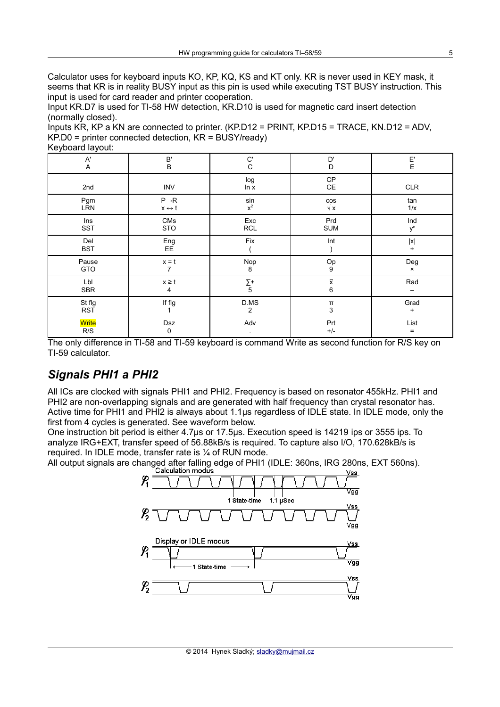Calculator uses for keyboard inputs KO, KP, KQ, KS and KT only. KR is never used in KEY mask, it seems that KR is in reality BUSY input as this pin is used while executing TST BUSY instruction. This input is used for card reader and printer cooperation.

Input KR.D7 is used for TI-58 HW detection, KR.D10 is used for magnetic card insert detection (normally closed).

Inputs KR, KP a KN are connected to printer. (KP.D12 = PRINT, KP.D15 = TRACE, KN.D12 = ADV,  $KP.D0 =$  printer connected detection,  $KR = BUSY/ready$ Keyboard layout:

| $\mathsf{A}^{\mathsf{r}}$ | $\mathsf B'$                              | C'                          | D'                 | $\mathsf{E}'$               |
|---------------------------|-------------------------------------------|-----------------------------|--------------------|-----------------------------|
| A                         | $\sf B$                                   | C                           | D                  | E                           |
| 2nd                       | <b>INV</b>                                | log<br>ln x                 | CP<br>CE           | CLR                         |
| Pgm<br>LŘN                | $P\rightarrow R$<br>$x \leftrightarrow t$ | $\frac{\sin x^2}{1}$        | $\cos\sqrt{x}$     | tan<br>1/x                  |
| Ins                       | ${\sf CMS}$                               | $\ensuremath{\mathsf{Exc}}$ | Prd                | Ind                         |
| <b>SST</b>                | <b>STO</b>                                | <b>RCL</b>                  | <b>SUM</b>         | $\mathsf{y}^{\mathsf{x}}$   |
| Del<br><b>BST</b>         | $Eng$<br>$EE$                             | Fix                         | Int                | $\vert\mathsf{x}\vert$<br>÷ |
| Pause                     | $\mathsf{x}=\mathsf{t}$                   | Nop                         | $^{\rm Op}_{9}$    | Deg                         |
| GTO                       | 7                                         | 8                           |                    | $\pmb{\times}$              |
| Lbl                       | $\mathsf{x}\geq\mathsf{t}$                | $\Sigma_{5}^{+}$            | $\bar{\mathbf{x}}$ | Rad                         |
| <b>SBR</b>                | $\overline{4}$                            |                             | $\, 6$             | —                           |
| St flg                    | If flg                                    | D.MS                        | $\pmb{\Pi}$        | Grad                        |
| <b>RST</b>                |                                           | $\overline{2}$              | 3                  | $+$                         |
| <mark>Write</mark>        | Dsz                                       | Adv                         | Prt                | List                        |
| R/S                       | 0                                         | $\bullet$                   | $+/-$              | $=$                         |

The only difference in TI-58 and TI-59 keyboard is command Write as second function for R/S key on TI-59 calculator.

### *Signals PHI1 a PHI2*

All ICs are clocked with signals PHI1 and PHI2. Frequency is based on resonator 455kHz. PHI1 and PHI2 are non-overlapping signals and are generated with half frequency than crystal resonator has. Active time for PHI1 and PHI2 is always about 1.1µs regardless of IDLE state. In IDLE mode, only the first from 4 cycles is generated. See waveform below.

One instruction bit period is either 4.7µs or 17.5µs. Execution speed is 14219 ips or 3555 ips. To analyze IRG+EXT, transfer speed of 56.88kB/s is required. To capture also I/O, 170.628kB/s is required. In IDLE mode, transfer rate is ¼ of RUN mode.

All output signals are changed after falling edge of PHI1 (IDLE: 360ns, IRG 280ns, EXT 560ns).<br>Vss

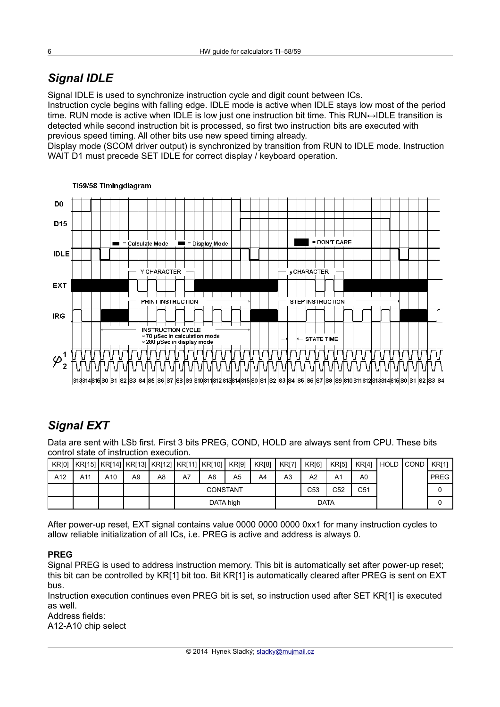# *Signal IDLE*

Signal IDLE is used to synchronize instruction cycle and digit count between ICs.

Instruction cycle begins with falling edge. IDLE mode is active when IDLE stays low most of the period time. RUN mode is active when IDLE is low just one instruction bit time. This RUN $\leftrightarrow$ IDLE transition is detected while second instruction bit is processed, so first two instruction bits are executed with previous speed timing. All other bits use new speed timing already.

Display mode (SCOM driver output) is synchronized by transition from RUN to IDLE mode. Instruction WAIT D1 must precede SET IDLE for correct display / keyboard operation.



#### TI59/58 Timingdiagram

### *Signal EXT*

Data are sent with LSb first. First 3 bits PREG, COND, HOLD are always sent from CPU. These bits control state of instruction execution.

| KR <sub>[0]</sub> | KR[15]   KR[14]   KR[13]   KR[12]   KR[11]   KR[10] |     |    |    |           |                 | KR[9] | <b>KR[8]</b> | <b>KR[7]</b> | <b>KR[6]</b> | <b>KR[5]</b>   | <b>KR[4]</b> |  | HOLD I COND | KR[1]       |
|-------------------|-----------------------------------------------------|-----|----|----|-----------|-----------------|-------|--------------|--------------|--------------|----------------|--------------|--|-------------|-------------|
| A12               | A11                                                 | A10 | A9 | A8 | A7        | A6              | A5    | A4           | A3           | A2           | A <sub>1</sub> | A0           |  |             | <b>PREG</b> |
|                   |                                                     |     |    |    |           | <b>CONSTANT</b> |       |              |              | C53          | C52            | C51          |  |             |             |
|                   |                                                     |     |    |    | DATA high |                 |       |              |              | <b>DATA</b>  |                |              |  |             |             |

After power-up reset, EXT signal contains value 0000 0000 0000 0xx1 for many instruction cycles to allow reliable initialization of all ICs, i.e. PREG is active and address is always 0.

#### **PREG**

Signal PREG is used to address instruction memory. This bit is automatically set after power-up reset; this bit can be controlled by KR[1] bit too. Bit KR[1] is automatically cleared after PREG is sent on EXT bus.

Instruction execution continues even PREG bit is set, so instruction used after SET KR[1] is executed as well.

Address fields:

A12-A10 chip select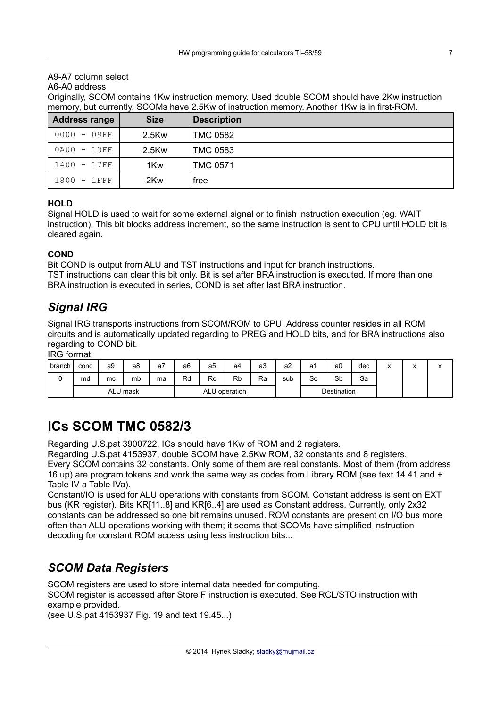#### A9-A7 column select

#### A6-A0 address

Originally, SCOM contains 1Kw instruction memory. Used double SCOM should have 2Kw instruction memory, but currently, SCOMs have 2.5Kw of instruction memory. Another 1Kw is in first-ROM.

| <b>Address range</b> | <b>Size</b> | <b>Description</b> |
|----------------------|-------------|--------------------|
| $0000 - 09FF$        | 2.5Kw       | TMC 0582           |
| 0A00 - 13FF          | 2.5Kw       | TMC 0583           |
| 1400 - 17FF          | 1Kw         | <b>TMC 0571</b>    |
| $1800 - 1$ FFF       | 2Kw         | free               |

#### **HOLD**

Signal HOLD is used to wait for some external signal or to finish instruction execution (eg. WAIT instruction). This bit blocks address increment, so the same instruction is sent to CPU until HOLD bit is cleared again.

#### **COND**

Bit COND is output from ALU and TST instructions and input for branch instructions. TST instructions can clear this bit only. Bit is set after BRA instruction is executed. If more than one BRA instruction is executed in series, COND is set after last BRA instruction.

### *Signal IRG*

Signal IRG transports instructions from SCOM/ROM to CPU. Address counter resides in all ROM circuits and is automatically updated regarding to PREG and HOLD bits, and for BRA instructions also regarding to COND bit.

IRG format:

| .      |      |                |          |                    |    |    |    |    |     |             |    |     |                                       |                                                    |                |
|--------|------|----------------|----------|--------------------|----|----|----|----|-----|-------------|----|-----|---------------------------------------|----------------------------------------------------|----------------|
| branch | cond | a <sub>9</sub> | a8       | a <sub>l</sub>     | a6 | a5 | a4 | a3 | a2  | a1          | a0 | dec | $\lambda$<br>$\overline{\phantom{a}}$ | $\overline{\phantom{a}}$<br>$\mathbf{\mathcal{L}}$ | $\lambda$<br>́ |
| ີ      | md   | mc             | mb       | ma                 | Rd | Rc | Rb | Ra | sub | Sc          | Sb | Sa  |                                       |                                                    |                |
|        |      |                | ALU mask | ALU<br>J operation |    |    |    |    |     | Destination |    |     |                                       |                                                    |                |

### **ICs SCOM TMC 0582/3**

Regarding U.S.pat 3900722, ICs should have 1Kw of ROM and 2 registers.

Regarding U.S.pat 4153937, double SCOM have 2.5Kw ROM, 32 constants and 8 registers.

Every SCOM contains 32 constants. Only some of them are real constants. Most of them (from address 16 up) are program tokens and work the same way as codes from Library ROM (see text 14.41 and + Table IV a Table IVa).

Constant/IO is used for ALU operations with constants from SCOM. Constant address is sent on EXT bus (KR register). Bits KR[11..8] and KR[6..4] are used as Constant address. Currently, only 2x32 constants can be addressed so one bit remains unused. ROM constants are present on I/O bus more often than ALU operations working with them; it seems that SCOMs have simplified instruction decoding for constant ROM access using less instruction bits...

### *SCOM Data Registers*

SCOM registers are used to store internal data needed for computing.

SCOM register is accessed after Store F instruction is executed. See RCL/STO instruction with example provided.

(see U.S.pat 4153937 Fig. 19 and text 19.45...)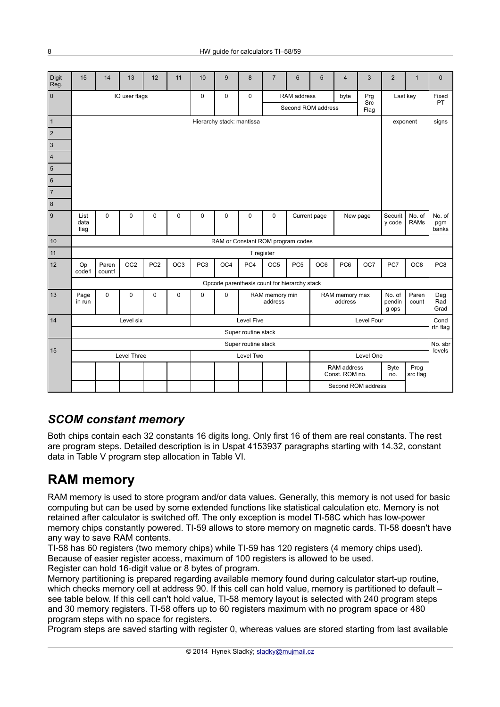| Digit<br>Reg.             | 15                                | 14              | 13              | 12              | 11                     | 10              | 9                                            | 8          | $\overline{7}$            | 6               | 5                  | 4                             | 3          | $\overline{2}$            | $\mathbf{1}$          | $\mathbf{0}$           |
|---------------------------|-----------------------------------|-----------------|-----------------|-----------------|------------------------|-----------------|----------------------------------------------|------------|---------------------------|-----------------|--------------------|-------------------------------|------------|---------------------------|-----------------------|------------------------|
| $\pmb{0}$                 |                                   |                 | IO user flags   |                 |                        | 0               | $\Omega$                                     | 0          |                           | RAM address     |                    | byte                          | Prg<br>Src |                           | Last key              | Fixed<br>PT            |
|                           |                                   |                 |                 |                 |                        |                 |                                              |            |                           |                 | Second ROM address |                               | Flag       |                           |                       |                        |
| $\mathbf{1}$              |                                   |                 |                 |                 |                        |                 | Hierarchy stack: mantissa                    |            |                           |                 |                    |                               |            |                           | exponent              | signs                  |
| $\sqrt{2}$                |                                   |                 |                 |                 |                        |                 |                                              |            |                           |                 |                    |                               |            |                           |                       |                        |
| $\ensuremath{\mathsf{3}}$ |                                   |                 |                 |                 |                        |                 |                                              |            |                           |                 |                    |                               |            |                           |                       |                        |
| $\overline{4}$            |                                   |                 |                 |                 |                        |                 |                                              |            |                           |                 |                    |                               |            |                           |                       |                        |
| $\sqrt{5}$                |                                   |                 |                 |                 |                        |                 |                                              |            |                           |                 |                    |                               |            |                           |                       |                        |
| $\,6\,$                   |                                   |                 |                 |                 |                        |                 |                                              |            |                           |                 |                    |                               |            |                           |                       |                        |
| $\overline{7}$            |                                   |                 |                 |                 |                        |                 |                                              |            |                           |                 |                    |                               |            |                           |                       |                        |
| $\bf 8$                   |                                   |                 |                 |                 |                        |                 |                                              |            |                           |                 |                    |                               |            |                           |                       |                        |
| $\overline{9}$            | List<br>data<br>flag              | 0               | $\mathbf 0$     | 0               | $\mathbf 0$            | 0               | $\mathbf 0$                                  | 0          | $\mathbf 0$               |                 | Current page       |                               | New page   | Securit<br>y code         | No. of<br><b>RAMs</b> | No. of<br>pgm<br>banks |
| 10                        | RAM or Constant ROM program codes |                 |                 |                 |                        |                 |                                              |            |                           |                 |                    |                               |            |                           |                       |                        |
| 11                        |                                   |                 |                 |                 |                        |                 |                                              |            | T register                |                 |                    |                               |            |                           |                       |                        |
| 12                        | Op<br>code1                       | Paren<br>count1 | OC <sub>2</sub> | PC <sub>2</sub> | OC <sub>3</sub>        | PC <sub>3</sub> | OC4                                          | PC4        | OC <sub>5</sub>           | PC <sub>5</sub> | OC6                | PC6                           | OC7        | PC7                       | OC <sub>8</sub>       | PC <sub>8</sub>        |
|                           |                                   |                 |                 |                 |                        |                 | Opcode parenthesis count for hierarchy stack |            |                           |                 |                    |                               |            |                           |                       |                        |
| 13                        | Page<br>in run                    | 0               | 0               | 0               | $\mathbf 0$            | 0               | $\mathbf 0$                                  |            | RAM memory min<br>address |                 |                    | RAM memory max<br>address     |            | No. of<br>pendin<br>g ops | Paren<br>count        | Deg<br>Rad<br>Grad     |
| 14                        |                                   |                 | Level six       |                 |                        |                 |                                              | Level Five |                           |                 |                    |                               | Level Four |                           |                       | Cond                   |
|                           |                                   |                 |                 |                 | Super routine stack    |                 |                                              |            |                           |                 |                    |                               | rtn flag   |                           |                       |                        |
| 15                        | Super routine stack               |                 |                 |                 |                        |                 |                                              |            |                           |                 |                    | No. sbr<br>levels             |            |                           |                       |                        |
|                           |                                   |                 | Level Three     |                 | Level Two<br>Level One |                 |                                              |            |                           |                 |                    |                               |            |                           |                       |                        |
|                           |                                   |                 |                 |                 |                        |                 |                                              |            |                           |                 |                    | RAM address<br>Const. ROM no. |            | Byte<br>no.               | Prog<br>src flag      |                        |
|                           |                                   |                 |                 |                 |                        |                 |                                              |            |                           |                 |                    | Second ROM address            |            |                           |                       |                        |

### *SCOM constant memory*

Both chips contain each 32 constants 16 digits long. Only first 16 of them are real constants. The rest are program steps. Detailed description is in Uspat 4153937 paragraphs starting with 14.32, constant data in Table V program step allocation in Table VI.

# **RAM memory**

RAM memory is used to store program and/or data values. Generally, this memory is not used for basic computing but can be used by some extended functions like statistical calculation etc. Memory is not retained after calculator is switched off. The only exception is model TI-58C which has low-power memory chips constantly powered. TI-59 allows to store memory on magnetic cards. TI-58 doesn't have any way to save RAM contents.

TI-58 has 60 registers (two memory chips) while TI-59 has 120 registers (4 memory chips used). Because of easier register access, maximum of 100 registers is allowed to be used. Register can hold 16-digit value or 8 bytes of program.

Memory partitioning is prepared regarding available memory found during calculator start-up routine, which checks memory cell at address 90. If this cell can hold value, memory is partitioned to default – see table below. If this cell can't hold value, TI-58 memory layout is selected with 240 program steps and 30 memory registers. TI-58 offers up to 60 registers maximum with no program space or 480 program steps with no space for registers.

Program steps are saved starting with register 0, whereas values are stored starting from last available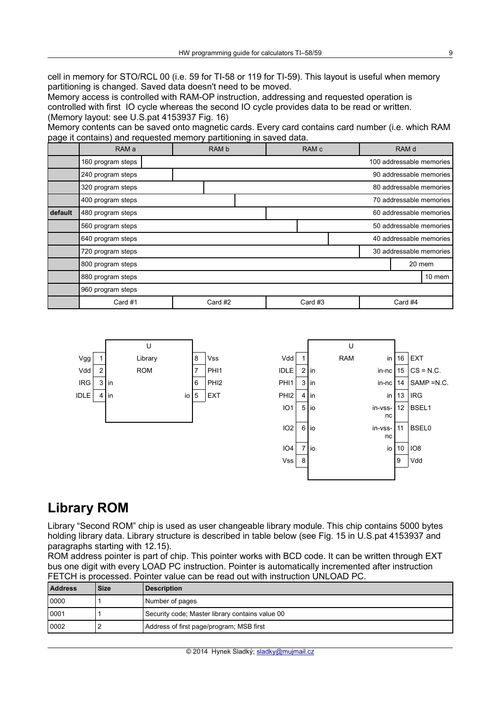cell in memory for STO/RCL 00 (i.e. 59 for TI-58 or 119 for TI-59). This layout is useful when memory partitioning is changed. Saved data doesn't need to be moved.

Memory access is controlled with RAM-OP instruction, addressing and requested operation is controlled with first IO cycle whereas the second IO cycle provides data to be read or written. (Memory layout: see U.S.pat 4153937 Fig. 16)

Memory contents can be saved onto magnetic cards. Every card contains card number (i.e. which RAM page it contains) and requested memory partitioning in saved data.

|         | RAM a             | RAM b |                    |                         | RAM <sub>c</sub> |  |  | RAM d                    |                         |  |  |
|---------|-------------------|-------|--------------------|-------------------------|------------------|--|--|--------------------------|-------------------------|--|--|
|         | 160 program steps |       |                    |                         |                  |  |  | 100 addressable memories |                         |  |  |
|         | 240 program steps |       |                    |                         |                  |  |  | 90 addressable memories  |                         |  |  |
|         | 320 program steps |       |                    |                         |                  |  |  |                          | 80 addressable memories |  |  |
|         | 400 program steps |       |                    | 70 addressable memories |                  |  |  |                          |                         |  |  |
| default | 480 program steps |       |                    |                         |                  |  |  |                          | 60 addressable memories |  |  |
|         | 560 program steps |       |                    |                         |                  |  |  |                          | 50 addressable memories |  |  |
|         | 640 program steps |       |                    |                         |                  |  |  | 40 addressable memories  |                         |  |  |
|         | 720 program steps |       |                    |                         |                  |  |  | 30 addressable memories  |                         |  |  |
|         | 800 program steps |       |                    |                         |                  |  |  | 20 mem                   |                         |  |  |
|         | 880 program steps |       |                    |                         |                  |  |  |                          | 10 mem                  |  |  |
|         | 960 program steps |       |                    |                         |                  |  |  |                          |                         |  |  |
|         | Card #1           |       | Card #3<br>Card #4 |                         |                  |  |  |                          |                         |  |  |



# **Library ROM**

Library "Second ROM" chip is used as user changeable library module. This chip contains 5000 bytes holding library data. Library structure is described in table below (see Fig. 15 in U.S.pat 4153937 and paragraphs starting with 12.15).

ROM address pointer is part of chip. This pointer works with BCD code. It can be written through EXT bus one digit with every LOAD PC instruction. Pointer is automatically incremented after instruction FETCH is processed. Pointer value can be read out with instruction UNLOAD PC.

| <b>Address</b> | <b>Size</b> | <b>Description</b>                              |
|----------------|-------------|-------------------------------------------------|
| 10000          |             | Number of pages                                 |
| 10001          |             | Security code; Master library contains value 00 |
| 10002          |             | Address of first page/program; MSB first        |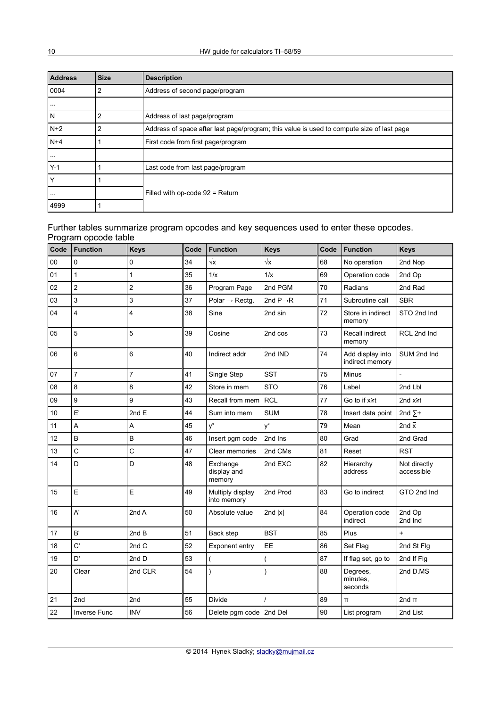| <b>Address</b> | <b>Size</b> | <b>Description</b>                                                                        |
|----------------|-------------|-------------------------------------------------------------------------------------------|
| 0004           | 2           | Address of second page/program                                                            |
| $\sim$ $\sim$  |             |                                                                                           |
| N              | 2           | Address of last page/program                                                              |
| N+2            | 2           | Address of space after last page/program; this value is used to compute size of last page |
| N+4            |             | First code from first page/program                                                        |
| $\cdots$       |             |                                                                                           |
| $Y-1$          |             | Last code from last page/program                                                          |
| Y              |             |                                                                                           |
| $\cdots$       |             | Filled with op-code 92 = Return                                                           |
| 4999           |             |                                                                                           |

### Further tables summarize program opcodes and key sequences used to enter these opcodes.

|      | Program opcode table    |                |      |                                   |                       |      |                                     |                            |  |  |
|------|-------------------------|----------------|------|-----------------------------------|-----------------------|------|-------------------------------------|----------------------------|--|--|
| Code | <b>Function</b>         | <b>Keys</b>    | Code | <b>Function</b>                   | <b>Keys</b>           | Code | <b>Function</b>                     | <b>Keys</b>                |  |  |
| 00   | 0                       | 0              | 34   | $\sqrt{x}$                        | $\sqrt{x}$            | 68   | No operation                        | 2nd Nop                    |  |  |
| 01   | 1                       | $\mathbf{1}$   | 35   | 1/x                               | 1/x                   | 69   | Operation code                      | 2nd Op                     |  |  |
| 02   | $\overline{c}$          | $\overline{c}$ | 36   | Program Page                      | 2nd PGM               | 70   | Radians                             | 2nd Rad                    |  |  |
| 03   | 3                       | 3              | 37   | Polar $\rightarrow$ Rectg.        | 2nd $P \rightarrow R$ | 71   | Subroutine call                     | <b>SBR</b>                 |  |  |
| 04   | $\overline{\mathbf{4}}$ | 4              | 38   | Sine                              | 2nd sin               | 72   | Store in indirect<br>memory         | STO 2nd Ind                |  |  |
| 05   | 5                       | 5              | 39   | Cosine                            | 2nd cos               | 73   | Recall indirect<br>memory           | RCL 2nd Ind                |  |  |
| 06   | 6                       | 6              | 40   | Indirect addr                     | 2nd IND               | 74   | Add display into<br>indirect memory | SUM 2nd Ind                |  |  |
| 07   | $\overline{7}$          | $\overline{7}$ | 41   | Single Step                       | <b>SST</b>            | 75   | Minus                               |                            |  |  |
| 08   | 8                       | 8              | 42   | Store in mem                      | <b>STO</b>            | 76   | Label                               | 2nd Lbl                    |  |  |
| 09   | 9                       | 9              | 43   | Recall from mem                   | <b>RCL</b>            | 77   | Go to if $x \geq t$                 | 2nd $x \geq t$             |  |  |
| 10   | E'                      | 2 $ndE$        | 44   | Sum into mem                      | <b>SUM</b>            | 78   | Insert data point                   | 2nd $\Sigma^+$             |  |  |
| 11   | A                       | A              | 45   | $y^x$                             | $y^x$                 | 79   | Mean                                | 2nd $\overline{x}$         |  |  |
| 12   | B                       | B              | 46   | Insert pgm code                   | 2nd Ins               | 80   | Grad                                | 2nd Grad                   |  |  |
| 13   | C                       | $\mathsf C$    | 47   | Clear memories                    | 2nd CMs               | 81   | Reset                               | <b>RST</b>                 |  |  |
| 14   | D                       | D              | 48   | Exchange<br>display and<br>memory | 2nd EXC               | 82   | Hierarchy<br>address                | Not directly<br>accessible |  |  |
| 15   | E                       | E              | 49   | Multiply display<br>into memory   | 2nd Prod              | 83   | Go to indirect                      | GTO 2nd Ind                |  |  |
| 16   | A'                      | 2nd A          | 50   | Absolute value                    | 2nd $ x $             | 84   | Operation code<br>indirect          | 2nd Op<br>2nd Ind          |  |  |
| 17   | B'                      | 2nd B          | 51   | Back step                         | <b>BST</b>            | 85   | Plus                                | $+$                        |  |  |
| 18   | C'                      | 2nd C          | 52   | Exponent entry                    | EE                    | 86   | Set Flag                            | 2nd St Flg                 |  |  |
| 19   | D'                      | 2nd D          | 53   | $\overline{\phantom{a}}$          | (                     | 87   | If flag set, go to                  | 2nd If Flg                 |  |  |
| 20   | Clear                   | 2nd CLR        | 54   | $\mathcal{E}$                     | )                     | 88   | Degrees,<br>minutes.<br>seconds     | 2nd D.MS                   |  |  |
| 21   | 2nd                     | 2nd            | 55   | Divide                            |                       | 89   | $\overline{\mathbf{u}}$             | 2nd $\pi$                  |  |  |
| 22   | <b>Inverse Func</b>     | <b>INV</b>     | 56   | Delete pgm code 2nd Del           |                       | 90   | List program                        | 2nd List                   |  |  |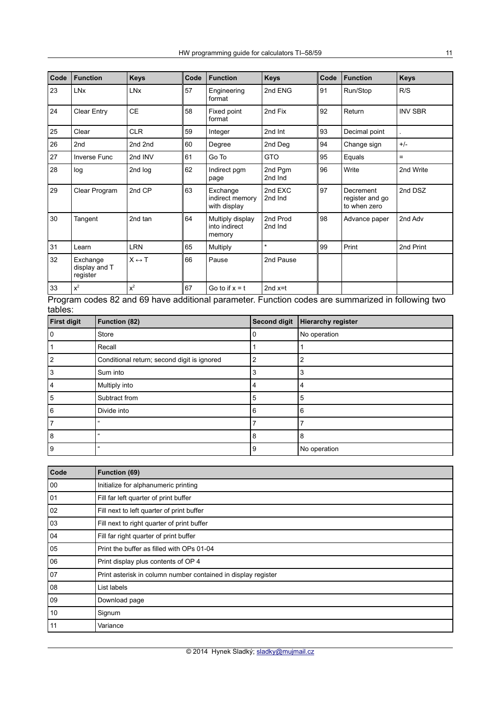| Code   | <b>Function</b>                       | <b>Keys</b>           | Code | <b>Function</b>                             | <b>Keys</b>         | Code | <b>Function</b>                              | <b>Keys</b>    |  |
|--------|---------------------------------------|-----------------------|------|---------------------------------------------|---------------------|------|----------------------------------------------|----------------|--|
| 23     | <b>LNx</b>                            | <b>LN<sub>x</sub></b> | 57   | Engineering<br>format                       | 2nd ENG             | 91   | Run/Stop                                     | R/S            |  |
| 24     | <b>Clear Entry</b>                    | <b>CE</b>             | 58   | Fixed point<br>format                       | 2nd Fix             | 92   | Return                                       | <b>INV SBR</b> |  |
| 25     | Clear                                 | <b>CLR</b>            | 59   | Integer                                     | 2nd Int             | 93   | Decimal point                                |                |  |
| 26     | 2 <sub>nd</sub>                       | 2nd 2nd               | 60   | Degree                                      | 2nd Deg             | 94   | Change sign                                  | $+/-$          |  |
| $27\,$ | Inverse Func                          | 2nd INV               | 61   | Go To                                       | <b>GTO</b>          | 95   | Equals                                       | $=$            |  |
| 28     | log                                   | 2nd log               | 62   | Indirect pgm<br>page                        | 2nd Pgm<br>2nd Ind  | 96   | Write                                        | 2nd Write      |  |
| 29     | Clear Program                         | 2nd CP                | 63   | Exchange<br>indirect memory<br>with display | 2nd EXC<br>2nd Ind  | 97   | Decrement<br>register and go<br>to when zero | 2nd DSZ        |  |
| 30     | Tangent                               | 2nd tan               | 64   | Multiply display<br>into indirect<br>memory | 2nd Prod<br>2nd Ind | 98   | Advance paper                                | 2nd Adv        |  |
| 31     | Learn                                 | <b>LRN</b>            | 65   | Multiply                                    | $\star$             | 99   | Print                                        | 2nd Print      |  |
| 32     | Exchange<br>display and T<br>register | $X \leftrightarrow T$ | 66   | Pause                                       | 2nd Pause           |      |                                              |                |  |
| 33     | $x^2$                                 | $x^2$                 | 67   | Go to if $x = t$                            | 2 $ndx=t$           |      |                                              |                |  |

Program codes 82 and 69 have additional parameter. Function codes are summarized in following two tables:

| <b>First digit</b> | <b>Function (82)</b>                        | <b>Second digit</b> | <b>Hierarchy register</b> |
|--------------------|---------------------------------------------|---------------------|---------------------------|
| $\Omega$           | Store                                       | 0                   | No operation              |
|                    | Recall                                      |                     |                           |
|                    | Conditional return; second digit is ignored | $\overline{2}$      | $\overline{2}$            |
| 3                  | Sum into                                    | 3                   | 3                         |
| 4                  | Multiply into                               | 4                   | 4                         |
| 5                  | Subtract from                               | 5                   | 5                         |
| 6                  | Divide into                                 | 6                   | 6                         |
|                    | $\epsilon\epsilon$                          |                     | 7                         |
| 8                  | $\alpha$                                    | 8                   | 8                         |
| 9                  | $\epsilon\epsilon$                          | 9                   | No operation              |

| Code         | Function (69)                                                 |
|--------------|---------------------------------------------------------------|
| 00           | Initialize for alphanumeric printing                          |
| 01           | Fill far left quarter of print buffer                         |
| 02           | Fill next to left quarter of print buffer                     |
| 03           | Fill next to right quarter of print buffer                    |
| 04           | Fill far right quarter of print buffer                        |
| 05           | Print the buffer as filled with OPs 01-04                     |
| 06           | Print display plus contents of OP 4                           |
| 07           | Print asterisk in column number contained in display register |
| 08           | List labels                                                   |
| $ 09\rangle$ | Download page                                                 |
| 10           | Signum                                                        |
| 11           | Variance                                                      |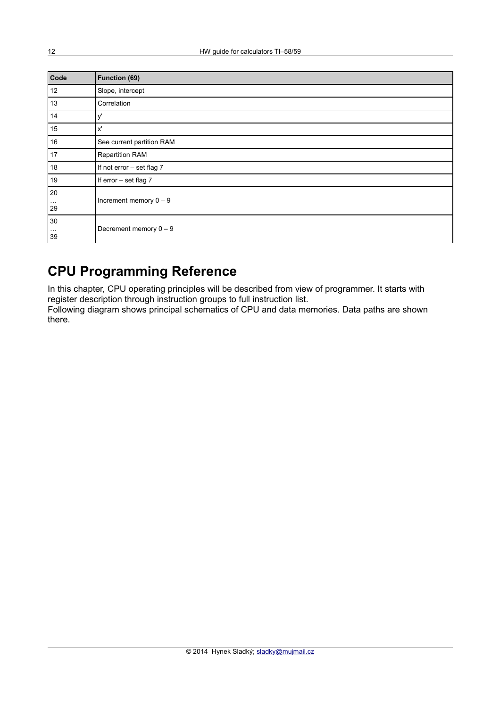| Code                       | <b>Function (69)</b>      |  |  |  |  |  |  |  |
|----------------------------|---------------------------|--|--|--|--|--|--|--|
| 12                         | Slope, intercept          |  |  |  |  |  |  |  |
| 13                         | Correlation               |  |  |  |  |  |  |  |
| 14                         | y'                        |  |  |  |  |  |  |  |
| 15                         | x'                        |  |  |  |  |  |  |  |
| 16                         | See current partition RAM |  |  |  |  |  |  |  |
| 17                         | <b>Repartition RAM</b>    |  |  |  |  |  |  |  |
| 18                         | If not error - set flag 7 |  |  |  |  |  |  |  |
| 19                         | If error - set flag 7     |  |  |  |  |  |  |  |
| 20                         |                           |  |  |  |  |  |  |  |
| $\sim$ $\sim$ $\sim$<br>29 | Increment memory $0 - 9$  |  |  |  |  |  |  |  |
| 30                         |                           |  |  |  |  |  |  |  |
| $\cdots$<br>39             | Decrement memory $0 - 9$  |  |  |  |  |  |  |  |

# **CPU Programming Reference**

In this chapter, CPU operating principles will be described from view of programmer. It starts with register description through instruction groups to full instruction list.

Following diagram shows principal schematics of CPU and data memories. Data paths are shown there.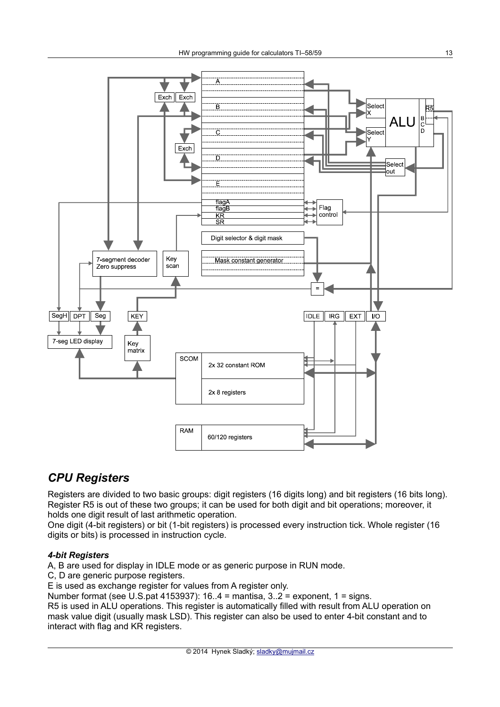

### *CPU Registers*

Registers are divided to two basic groups: digit registers (16 digits long) and bit registers (16 bits long). Register R5 is out of these two groups; it can be used for both digit and bit operations; moreover, it holds one digit result of last arithmetic operation.

One digit (4-bit registers) or bit (1-bit registers) is processed every instruction tick. Whole register (16 digits or bits) is processed in instruction cycle.

#### *4-bit Registers*

A, B are used for display in IDLE mode or as generic purpose in RUN mode.

C. D are generic purpose registers.

E is used as exchange register for values from A register only.

Number format (see U.S.pat 4153937):  $16.4$  = mantisa,  $3.2$  = exponent,  $1$  = signs.

R5 is used in ALU operations. This register is automatically filled with result from ALU operation on mask value digit (usually mask LSD). This register can also be used to enter 4-bit constant and to interact with flag and KR registers.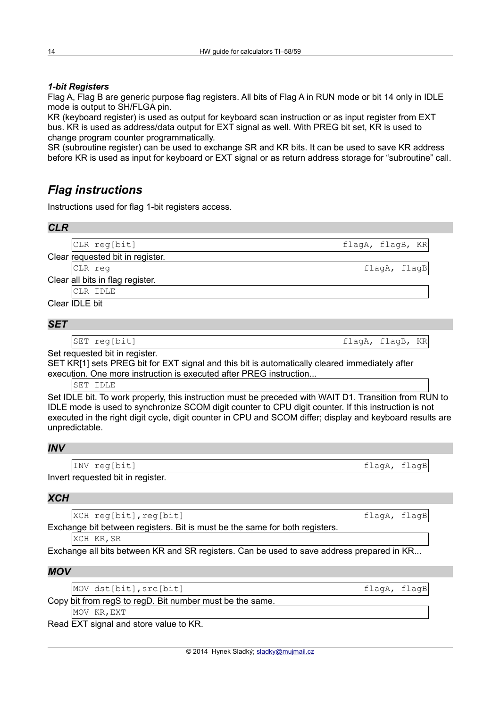#### *1-bit Registers*

Flag A, Flag B are generic purpose flag registers. All bits of Flag A in RUN mode or bit 14 only in IDLE mode is output to SH/FLGA pin.

KR (keyboard register) is used as output for keyboard scan instruction or as input register from EXT bus. KR is used as address/data output for EXT signal as well. With PREG bit set, KR is used to change program counter programmatically.

SR (subroutine register) can be used to exchange SR and KR bits. It can be used to save KR address before KR is used as input for keyboard or EXT signal or as return address storage for "subroutine" call.

### *Flag instructions*

Instructions used for flag 1-bit registers access.

| <b>CLR</b> |                                  |                  |
|------------|----------------------------------|------------------|
|            | CLR reg[bit]                     | flagA, flagB, KR |
|            | Clear requested bit in register. |                  |
|            | CLR req                          | flagA, flagB     |
|            | Clear all bits in flag register. |                  |
|            | CLR IDLE                         |                  |
|            | Clear IDLE bit                   |                  |

#### *SET*

SET reg[bit] states and the state of the state of the state of the state of the state of the state of the state of the state of the state of the state of the state of the state of the state of the state of the state of the

Set requested bit in register.

SET KR[1] sets PREG bit for EXT signal and this bit is automatically cleared immediately after execution. One more instruction is executed after PREG instruction...

SET IDLE

Set IDLE bit. To work properly, this instruction must be preceded with WAIT D1. Transition from RUN to IDLE mode is used to synchronize SCOM digit counter to CPU digit counter. If this instruction is not executed in the right digit cycle, digit counter in CPU and SCOM differ; display and keyboard results are unpredictable.

#### *INV*

INV reg[bit] flagA, flagB

Invert requested bit in register.

#### *XCH*

XCH reg[bit], reg[bit] state of the state of the state of the state of the state of the state of the state of the state of the state of the state of the state of the state of the state of the state of the state of the stat

Exchange bit between registers. Bit is must be the same for both registers.

XCH KR, SR

Exchange all bits between KR and SR registers. Can be used to save address prepared in KR...

#### *MOV*

MOV dst[bit], src[bit] flagA, flagB

Copy bit from regS to regD. Bit number must be the same.

MOV KR,EXT

Read EXT signal and store value to KR.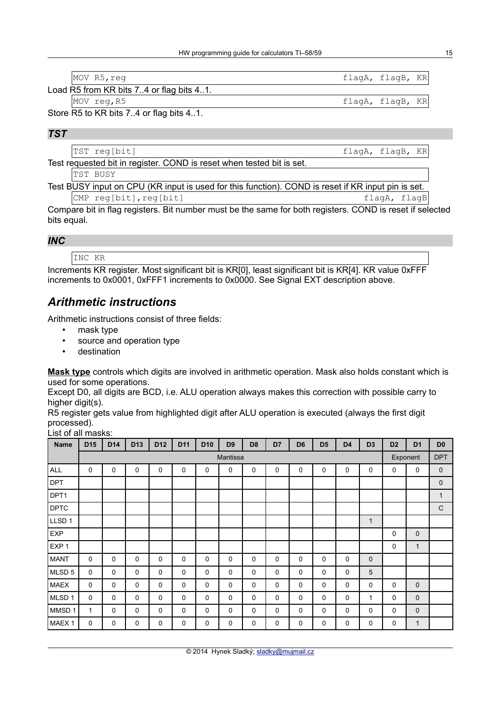| MOV R5, req                                                | flagA, flagB, KR |  |
|------------------------------------------------------------|------------------|--|
| Load R5 from KR bits 7.4 or flag bits 41.                  |                  |  |
| MOV reg, R5                                                | flagA, flagB, KR |  |
| $P_{\text{tors}}$ $DE$ to $VD$ bits $7$ A or flog bits A A |                  |  |

Store R5 to KR bits 7..4 or flag bits 4..1.

### *TST*

|                                                                       | TST reg[bit]                                                                        | flagA, flagB, KR |  |  |  |  |  |  |  |  |
|-----------------------------------------------------------------------|-------------------------------------------------------------------------------------|------------------|--|--|--|--|--|--|--|--|
| Test requested bit in register. COND is reset when tested bit is set. |                                                                                     |                  |  |  |  |  |  |  |  |  |
|                                                                       | TST BUSY                                                                            |                  |  |  |  |  |  |  |  |  |
| — <u>.</u>                                                            | $\mathbf{r}$ . $\mathbf{r}$ . $\mathbf{r}$ . A contract $\mathbf{r}$<br>22111177777 | $\cdots$         |  |  |  |  |  |  |  |  |

Test BUSY input on CPU (KR input is used for this function). COND is reset if KR input pin is set. cMP reg[bit], reg[bit] compared to the flagA, flagB

Compare bit in flag registers. Bit number must be the same for both registers. COND is reset if selected bits equal.

#### *INC*

INC KR

Increments KR register. Most significant bit is KR[0], least significant bit is KR[4]. KR value 0xFFF increments to 0x0001, 0xFFF1 increments to 0x0000. See Signal EXT description above.

### *Arithmetic instructions*

Arithmetic instructions consist of three fields:

- mask type
- source and operation type
- destination

**Mask type** controls which digits are involved in arithmetic operation. Mask also holds constant which is used for some operations.

Except D0, all digits are BCD, i.e. ALU operation always makes this correction with possible carry to higher digit(s).

R5 register gets value from highlighted digit after ALU operation is executed (always the first digit processed).

|--|

| <b>Name</b>       | D <sub>15</sub> | D <sub>14</sub> | D <sub>13</sub> | D <sub>12</sub> | D <sub>11</sub> | D <sub>10</sub> | D <sub>9</sub> | D <sub>8</sub> | D7          | D <sub>6</sub> | D <sub>5</sub> | D <sub>4</sub> | D <sub>3</sub> | D <sub>2</sub> | D <sub>1</sub> | D <sub>0</sub> |
|-------------------|-----------------|-----------------|-----------------|-----------------|-----------------|-----------------|----------------|----------------|-------------|----------------|----------------|----------------|----------------|----------------|----------------|----------------|
|                   |                 | Mantissa        |                 |                 |                 |                 |                |                |             |                |                |                |                |                | Exponent       | <b>DPT</b>     |
| <b>ALL</b>        | $\mathbf 0$     | 0               | $\mathbf 0$     | $\mathbf 0$     | 0               | $\mathbf 0$     | 0              | 0              | 0           | $\mathbf 0$    | 0              | 0              | 0              | 0              | 0              | $\mathbf 0$    |
| <b>DPT</b>        |                 |                 |                 |                 |                 |                 |                |                |             |                |                |                |                |                |                | $\mathbf 0$    |
| DPT1              |                 |                 |                 |                 |                 |                 |                |                |             |                |                |                |                |                |                | $\mathbf{1}$   |
| <b>DPTC</b>       |                 |                 |                 |                 |                 |                 |                |                |             |                |                |                |                |                |                | $\mathsf{C}$   |
| LLSD <sub>1</sub> |                 |                 |                 |                 |                 |                 |                |                |             |                |                |                | $\mathbf{1}$   |                |                |                |
| <b>EXP</b>        |                 |                 |                 |                 |                 |                 |                |                |             |                |                |                |                | 0              | $\mathbf 0$    |                |
| EXP <sub>1</sub>  |                 |                 |                 |                 |                 |                 |                |                |             |                |                |                |                | $\mathbf 0$    | 1              |                |
| <b>MANT</b>       | 0               | $\mathbf 0$     | $\mathbf 0$     | $\Omega$        | 0               | 0               | 0              | 0              | $\mathbf 0$ | $\mathbf 0$    | $\Omega$       | 0              | $\mathbf 0$    |                |                |                |
| MLSD <sub>5</sub> | $\mathbf 0$     | $\mathbf 0$     | $\mathbf 0$     | $\mathbf 0$     | 0               | 0               | 0              | $\mathbf 0$    | $\mathbf 0$ | $\mathbf 0$    | $\mathbf 0$    | 0              | 5              |                |                |                |
| <b>MAEX</b>       | $\mathbf 0$     | $\mathbf 0$     | $\mathbf 0$     | $\mathbf 0$     | 0               | 0               | 0              | 0              | $\mathbf 0$ | $\mathbf 0$    | $\mathbf 0$    | 0              | 0              | 0              | $\mathbf 0$    |                |
| MLSD <sub>1</sub> | $\mathbf 0$     | $\mathbf 0$     | $\mathbf 0$     | $\mathbf 0$     | 0               | $\mathbf 0$     | 0              | $\mathbf 0$    | 0           | $\mathbf 0$    | $\mathbf 0$    | 0              | 1              | 0              | $\mathbf 0$    |                |
| MMSD 1            | $\mathbf{1}$    | $\mathbf 0$     | $\mathbf 0$     | $\mathbf 0$     | 0               | $\mathbf 0$     | 0              | 0              | $\mathbf 0$ | $\mathbf 0$    | $\Omega$       | 0              | 0              | 0              | $\mathbf 0$    |                |
| MAEX <sub>1</sub> | $\mathbf 0$     | 0               | 0               | $\mathbf 0$     | 0               | 0               | 0              | 0              | 0           | 0              | $\mathbf 0$    | 0              | 0              | 0              | 1              |                |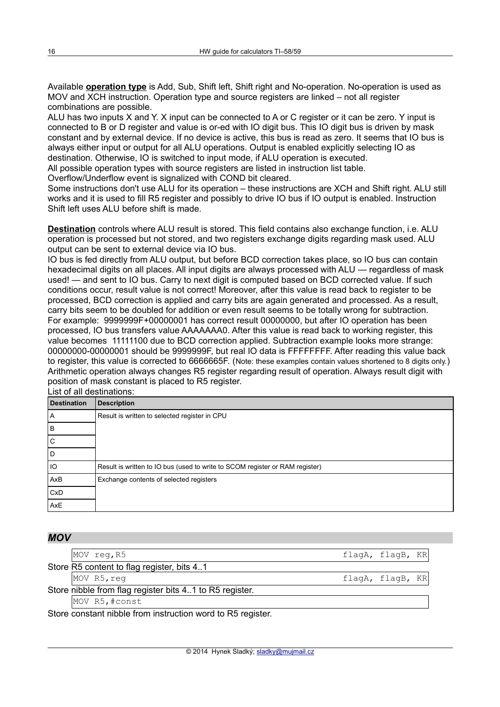Available **operation type** is Add, Sub, Shift left, Shift right and No-operation. No-operation is used as MOV and XCH instruction. Operation type and source registers are linked – not all register combinations are possible.

ALU has two inputs X and Y. X input can be connected to A or C register or it can be zero. Y input is connected to B or D register and value is or-ed with IO digit bus. This IO digit bus is driven by mask constant and by external device. If no device is active, this bus is read as zero. It seems that IO bus is always either input or output for all ALU operations. Output is enabled explicitly selecting IO as destination. Otherwise, IO is switched to input mode, if ALU operation is executed.

All possible operation types with source registers are listed in instruction list table.

Overflow/Underflow event is signalized with COND bit cleared.

Some instructions don't use ALU for its operation – these instructions are XCH and Shift right. ALU still works and it is used to fill R5 register and possibly to drive IO bus if IO output is enabled. Instruction Shift left uses ALU before shift is made.

**Destination** controls where ALU result is stored. This field contains also exchange function, i.e. ALU operation is processed but not stored, and two registers exchange digits regarding mask used. ALU output can be sent to external device via IO bus.

IO bus is fed directly from ALU output, but before BCD correction takes place, so IO bus can contain hexadecimal digits on all places. All input digits are always processed with ALU — regardless of mask used! — and sent to IO bus. Carry to next digit is computed based on BCD corrected value. If such conditions occur, result value is not correct! Moreover, after this value is read back to register to be processed, BCD correction is applied and carry bits are again generated and processed. As a result, carry bits seem to be doubled for addition or even result seems to be totally wrong for subtraction. For example: 9999999F+00000001 has correct result 00000000, but after IO operation has been processed, IO bus transfers value AAAAAAA0. After this value is read back to working register, this value becomes 11111100 due to BCD correction applied. Subtraction example looks more strange: 00000000-00000001 should be 9999999F, but real IO data is FFFFFFFF. After reading this value back to register, this value is corrected to 6666665F. (Note: these examples contain values shortened to 8 digits only.) Arithmetic operation always changes R5 register regarding result of operation. Always result digit with position of mask constant is placed to R5 register.

List of all destinations:

| <b>Destination</b> | <b>Description</b>                                                           |
|--------------------|------------------------------------------------------------------------------|
| $\mathsf{A}$       | Result is written to selected register in CPU                                |
| B                  |                                                                              |
| Ü                  |                                                                              |
| D                  |                                                                              |
| IO                 | Result is written to IO bus (used to write to SCOM register or RAM register) |
| AxB                | Exchange contents of selected registers                                      |
| CxD                |                                                                              |
| AxE                |                                                                              |

| <b>MOV</b> |                                                         |                  |
|------------|---------------------------------------------------------|------------------|
|            | MOV reg, R5                                             | flagA, flagB, KR |
|            | Store R5 content to flag register, bits 41              |                  |
|            | MOV R5, reg                                             | flagA, flagB, KR |
|            | Store nibble from flag register bits 41 to R5 register. |                  |
|            | MOV R5, #const                                          |                  |
|            |                                                         |                  |

Store constant nibble from instruction word to R5 register.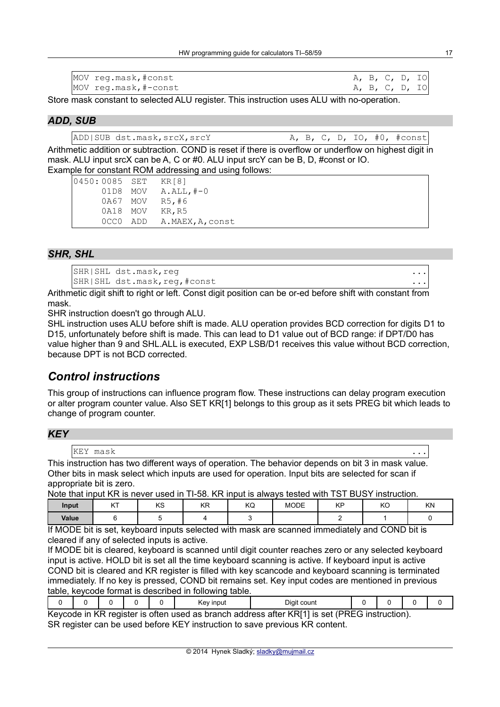| MOV reg.mask, #const  | A, B, C, D, IO |  |  |
|-----------------------|----------------|--|--|
| MOV reg.mask, #-const | A, B, C, D, IO |  |  |

Store mask constant to selected ALU register. This instruction uses ALU with no-operation.

#### *ADD, SUB*

ADD|SUB dst.mask,srcX,srcY A, B, C, D, IO, #0, #const

Arithmetic addition or subtraction. COND is reset if there is overflow or underflow on highest digit in mask. ALU input srcX can be A, C or #0. ALU input srcY can be B, D, #const or IO. Example for constant ROM addressing and using follows:

| 0450:0085 SET | KR [8]           |
|---------------|------------------|
| 01D8 MOV      | $A.ALL$ , $#-0$  |
| 0A67 MOV      | R5, #6           |
| 0A18 MOV      | KR, R5           |
| OCCO ADD      | A.MAEX, A, const |

### *SHR, SHL*

SHR|SHL dst.mask,req ... SHR|SHL dst.mask,reg,#const

Arithmetic digit shift to right or left. Const digit position can be or-ed before shift with constant from mask.

SHR instruction doesn't go through ALU.

SHL instruction uses ALU before shift is made. ALU operation provides BCD correction for digits D1 to D15, unfortunately before shift is made. This can lead to D1 value out of BCD range: if DPT/D0 has value higher than 9 and SHL.ALL is executed, EXP LSB/D1 receives this value without BCD correction, because DPT is not BCD corrected.

### *Control instructions*

This group of instructions can influence program flow. These instructions can delay program execution or alter program counter value. Also SET KR[1] belongs to this group as it sets PREG bit which leads to change of program counter.

#### *KEY*

| KEY | mask |  |
|-----|------|--|

This instruction has two different ways of operation. The behavior depends on bit 3 in mask value. Other bits in mask select which inputs are used for operation. Input bits are selected for scan if appropriate bit is zero.

Note that input KR is never used in TI-58. KR input is always tested with TST BUSY instruction.

| Input | $\sqrt{T}$<br><b>IAL</b> | $\overline{1/\overline{C}}$<br>rσ | KR<br>m | $\overline{1/\sqrt{2}}$<br>NU | <b>MODE</b> | <b>KD</b><br>. | $\overline{1/\sqrt{2}}$<br>יש | KN |
|-------|--------------------------|-----------------------------------|---------|-------------------------------|-------------|----------------|-------------------------------|----|
| Value |                          |                                   |         |                               |             |                |                               |    |

If MODE bit is set, keyboard inputs selected with mask are scanned immediately and COND bit is cleared if any of selected inputs is active.

If MODE bit is cleared, keyboard is scanned until digit counter reaches zero or any selected keyboard input is active. HOLD bit is set all the time keyboard scanning is active. If keyboard input is active COND bit is cleared and KR register is filled with key scancode and keyboard scanning is terminated immediately. If no key is pressed, COND bit remains set. Key input codes are mentioned in previous table, keycode format is described in following table.

|                                                                                              |  |  |  |  | Kev input | Digit count |  |  |  |  |
|----------------------------------------------------------------------------------------------|--|--|--|--|-----------|-------------|--|--|--|--|
| Kaycoda in KR register is often used as branch address after KRI11 is set (PRFG instruction) |  |  |  |  |           |             |  |  |  |  |

F in KR register is often used as branch address after KR[1] is set (PREG instruction). SR register can be used before KEY instruction to save previous KR content.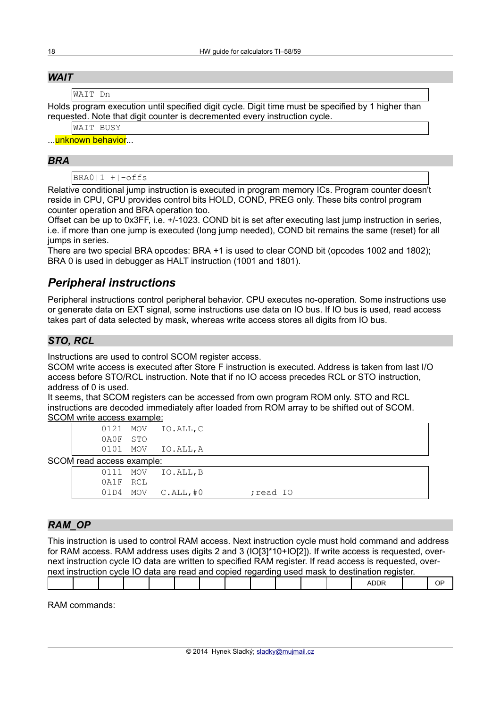#### *WAIT*

WAIT Dn

Holds program execution until specified digit cycle. Digit time must be specified by 1 higher than requested. Note that digit counter is decremented every instruction cycle.

```
WAIT BUSY
```
...<mark>unknown behavior</mark>...

#### *BRA*

 $BRA0|1 + |-offs$ 

Relative conditional jump instruction is executed in program memory ICs. Program counter doesn't reside in CPU, CPU provides control bits HOLD, COND, PREG only. These bits control program counter operation and BRA operation too.

Offset can be up to 0x3FF, i.e. +/-1023. COND bit is set after executing last jump instruction in series, i.e. if more than one jump is executed (long jump needed), COND bit remains the same (reset) for all jumps in series.

There are two special BRA opcodes: BRA +1 is used to clear COND bit (opcodes 1002 and 1802); BRA 0 is used in debugger as HALT instruction (1001 and 1801).

### *Peripheral instructions*

Peripheral instructions control peripheral behavior. CPU executes no-operation. Some instructions use or generate data on EXT signal, some instructions use data on IO bus. If IO bus is used, read access takes part of data selected by mask, whereas write access stores all digits from IO bus.

### *STO, RCL*

Instructions are used to control SCOM register access.

SCOM write access is executed after Store F instruction is executed. Address is taken from last I/O access before STO/RCL instruction. Note that if no IO access precedes RCL or STO instruction, address of 0 is used.

It seems, that SCOM registers can be accessed from own program ROM only. STO and RCL instructions are decoded immediately after loaded from ROM array to be shifted out of SCOM. SCOM write access example:

| 0121 MOV | IO.ALL, C |
|----------|-----------|
| 0A0F STO |           |
| 0101 MOV | IO.ALL, A |

SCOM read access example:

|          | 0111 MOV IO.ALL, B      |          |  |
|----------|-------------------------|----------|--|
| 0A1F RCL |                         |          |  |
|          | $01D4$ MOV $C.ALL$ , #0 | read IO; |  |

#### *RAM\_OP*

This instruction is used to control RAM access. Next instruction cycle must hold command and address for RAM access. RAM address uses digits 2 and 3 (IO[3]\*10+IO[2]). If write access is requested, overnext instruction cycle IO data are written to specified RAM register. If read access is requested, overnext instruction cycle IO data are read and copied regarding used mask to destination register.

| ΩP<br>אנ |  |  |  |  |  |
|----------|--|--|--|--|--|
|          |  |  |  |  |  |

RAM commands: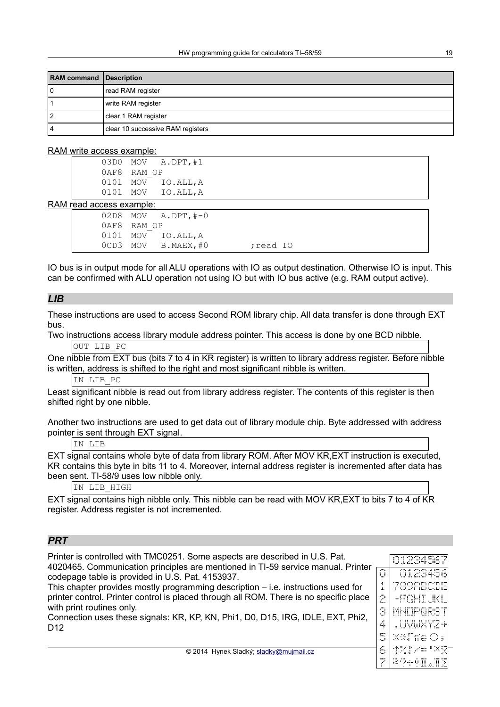| <b>RAM</b> command Description |                                   |
|--------------------------------|-----------------------------------|
| l O                            | read RAM register                 |
|                                | write RAM register                |
| 2                              | clear 1 RAM register              |
| 14                             | clear 10 successive RAM registers |

#### RAM write access example:

|             |     | 03D0 MOV A.DPT, #1 |
|-------------|-----|--------------------|
| 0AF8 RAM OP |     |                    |
| 0101        | MOV | IO.ALL, A          |
| 0101        | MOV | IO.ALL, A          |

#### RAM read access example:

| <u>cau access cvampic.</u> |                        |          |  |
|----------------------------|------------------------|----------|--|
|                            | $02D8$ MOV $A.DPT.H=0$ |          |  |
| 0AF8 RAM OP                |                        |          |  |
|                            | 0101 MOV IO.ALL, A     |          |  |
|                            | OCD3 MOV B.MAEX, #0    | read IO; |  |

IO bus is in output mode for all ALU operations with IO as output destination. Otherwise IO is input. This can be confirmed with ALU operation not using IO but with IO bus active (e.g. RAM output active).

#### *LIB*

These instructions are used to access Second ROM library chip. All data transfer is done through EXT bus.

Two instructions access library module address pointer. This access is done by one BCD nibble. OUT LIB PC

One nibble from EXT bus (bits 7 to 4 in KR register) is written to library address register. Before nibble is written, address is shifted to the right and most significant nibble is written.

IN LIB\_PC

Least significant nibble is read out from library address register. The contents of this register is then shifted right by one nibble.

Another two instructions are used to get data out of library module chip. Byte addressed with address pointer is sent through EXT signal.

IN LIB

EXT signal contains whole byte of data from library ROM. After MOV KR,EXT instruction is executed, KR contains this byte in bits 11 to 4. Moreover, internal address register is incremented after data has been sent. TI-58/9 uses low nibble only.

IN LIB\_HIGH

EXT signal contains high nibble only. This nibble can be read with MOV KR,EXT to bits 7 to 4 of KR register. Address register is not incremented.

#### *PRT*

Printer is controlled with TMC0251. Some aspects are described in U.S. Pat. 4020465. Communication principles are mentioned in TI-59 service manual. Printer codepage table is provided in U.S. Pat. 4153937. This chapter provides mostly programming description – i.e. instructions used for

printer control. Printer control is placed through all ROM. There is no specific place with print routines only.

Connection uses these signals: KR, KP, KN, Phi1, D0, D15, IRG, IDLE, EXT, Phi2, D<sub>12</sub>

|    | 01234567     |
|----|--------------|
| O  | 0123456      |
| 1  | 789ABCDE     |
| 2  | -FGHIJKL     |
| R  | MNOPQRST     |
| 4  | .UVWXYZ+     |
| ŋ  | x*Tfe0,      |
| ŕ. | 李宏宇之中<br>8 Х |
|    | 29÷9I.T      |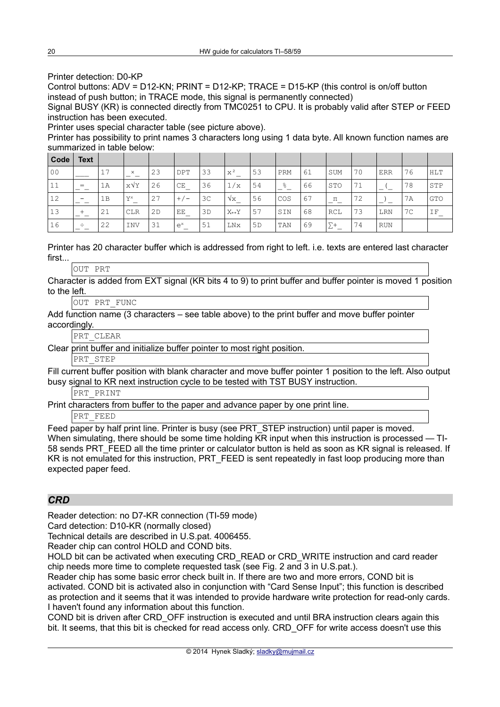Printer detection: D0-KP

Control buttons: ADV = D12-KN; PRINT = D12-KP; TRACE = D15-KP (this control is on/off button instead of push button; in TRACE mode, this signal is permanently connected)

Signal BUSY (KR) is connected directly from TMC0251 to CPU. It is probably valid after STEP or FEED instruction has been executed.

Printer uses special character table (see picture above).

Printer has possibility to print names 3 characters long using 1 data byte. All known function names are summarized in table below:

| Code           | <b>Text</b>              |    |             |    |            |                |                       |                |               |    |            |    |            |    |            |
|----------------|--------------------------|----|-------------|----|------------|----------------|-----------------------|----------------|---------------|----|------------|----|------------|----|------------|
| 0 <sub>0</sub> |                          | 17 | $\times$    | 23 | <b>DPT</b> | 33             | $\rm x^2$             | 53             | PRM           | 61 | SUM        | 70 | ERR        | 76 | <b>HLT</b> |
| 11             | $=$                      | 1A | $X\sqrt{Y}$ | 26 | CE         | 36             | 1/x                   | 54             | $\frac{6}{6}$ | 66 | <b>STO</b> | 71 |            | 78 | STP        |
| 12             | $\overline{\phantom{0}}$ | 1B | $Y^x$       | 27 | $+/-$      | 3 <sup>c</sup> | $\sqrt{x}$            | 56             | COS           | 67 | $\Pi$      | 72 |            | 7A | <b>GTO</b> |
| 13             | $^{+}$                   | 21 | <b>CLR</b>  | 2D | EE         | 3D             | $X \leftrightarrow Y$ | 57             | SIN           | 68 | RCL        | 73 | LRN        | 7C | ΙF         |
| 16             | ÷                        | 22 | <b>INV</b>  | 31 | $e^x$      | 51             | LNx                   | 5 <sub>D</sub> | TAN           | 69 | $\Sigma^+$ | 74 | <b>RUN</b> |    |            |

Printer has 20 character buffer which is addressed from right to left. i.e. texts are entered last character first...

OUT PRT

Character is added from EXT signal (KR bits 4 to 9) to print buffer and buffer pointer is moved 1 position to the left.

OUT PRT\_FUNC

Add function name (3 characters – see table above) to the print buffer and move buffer pointer accordingly.

PRT\_CLEAR

Clear print buffer and initialize buffer pointer to most right position.

PRT\_STEP

Fill current buffer position with blank character and move buffer pointer 1 position to the left. Also output busy signal to KR next instruction cycle to be tested with TST BUSY instruction.

PRT\_PRINT

Print characters from buffer to the paper and advance paper by one print line.

PRT\_FEED

Feed paper by half print line. Printer is busy (see PRT STEP instruction) until paper is moved. When simulating, there should be some time holding KR input when this instruction is processed — TI-58 sends PRT\_FEED all the time printer or calculator button is held as soon as KR signal is released. If KR is not emulated for this instruction, PRT\_FEED is sent repeatedly in fast loop producing more than expected paper feed.

#### *CRD*

Reader detection: no D7-KR connection (TI-59 mode)

Card detection: D10-KR (normally closed)

Technical details are described in U.S.pat. 4006455.

Reader chip can control HOLD and COND bits.

HOLD bit can be activated when executing CRD\_READ or CRD\_WRITE instruction and card reader chip needs more time to complete requested task (see Fig. 2 and 3 in U.S.pat.).

Reader chip has some basic error check built in. If there are two and more errors, COND bit is activated. COND bit is activated also in conjunction with "Card Sense Input"; this function is described as protection and it seems that it was intended to provide hardware write protection for read-only cards. I haven't found any information about this function.

COND bit is driven after CRD\_OFF instruction is executed and until BRA instruction clears again this bit. It seems, that this bit is checked for read access only. CRD OFF for write access doesn't use this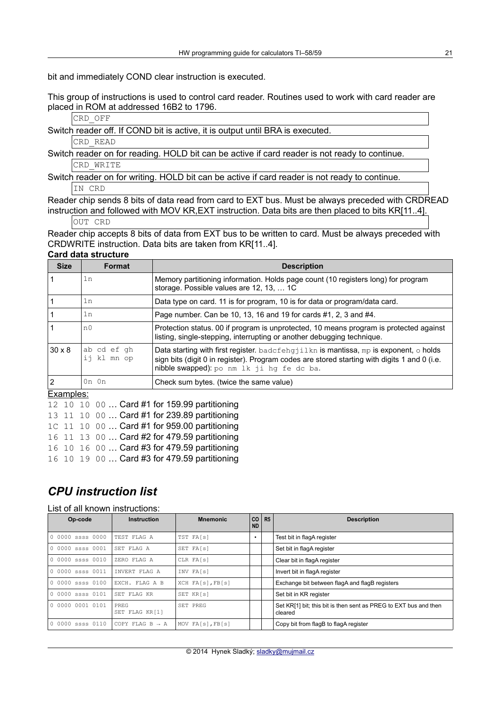bit and immediately COND clear instruction is executed.

This group of instructions is used to control card reader. Routines used to work with card reader are placed in ROM at addressed 16B2 to 1796.

#### CRD\_OFF

Switch reader off. If COND bit is active, it is output until BRA is executed.

CRD\_READ

Switch reader on for reading. HOLD bit can be active if card reader is not ready to continue. CRD\_WRITE

Switch reader on for writing. HOLD bit can be active if card reader is not ready to continue. IN CRD

Reader chip sends 8 bits of data read from card to EXT bus. Must be always preceded with CRDREAD instruction and followed with MOV KR,EXT instruction. Data bits are then placed to bits KR[11..4].

OUT CRD

Reader chip accepts 8 bits of data from EXT bus to be written to card. Must be always preceded with CRDWRITE instruction. Data bits are taken from KR[11..4]. **Card data structure**

| <b>Size</b>   | <b>Format</b>              | <b>Description</b>                                                                                                                                                                                                                       |
|---------------|----------------------------|------------------------------------------------------------------------------------------------------------------------------------------------------------------------------------------------------------------------------------------|
|               | 1n                         | Memory partitioning information. Holds page count (10 registers long) for program<br>storage. Possible values are 12, 13,  1C                                                                                                            |
|               | 1n                         | Data type on card. 11 is for program, 10 is for data or program/data card.                                                                                                                                                               |
|               | 1n                         | Page number. Can be 10, 13, 16 and 19 for cards #1, 2, 3 and #4.                                                                                                                                                                         |
|               | n <sub>0</sub>             | Protection status. 00 if program is unprotected, 10 means program is protected against<br>listing, single-stepping, interrupting or another debugging technique.                                                                         |
| $30 \times 8$ | ab cd ef qh<br>ij kl mn op | Data starting with first register. badcfehgjilkn is mantissa, mp is exponent, $\circ$ holds<br>sign bits (digit 0 in register). Program codes are stored starting with digits 1 and 0 (i.e.<br>nibble swapped): po nm lk ji hq fe dc ba. |
| 2             | $0n$ $0n$                  | Check sum bytes. (twice the same value)                                                                                                                                                                                                  |

#### Examples:

12 10 10 00 … Card #1 for 159.99 partitioning 13 11 10 00 … Card #1 for 239.89 partitioning 1C 11 10 00 … Card #1 for 959.00 partitioning 16 11 13 00 … Card #2 for 479.59 partitioning 16 10 16 00 … Card #3 for 479.59 partitioning 16 10 19 00 … Card #3 for 479.59 partitioning

### *CPU instruction list*

#### List of all known instructions:

| Op-code          | <b>Instruction</b>                  | <b>Mnemonic</b>  | <b>CO</b><br><b>ND</b> | R <sub>5</sub> | <b>Description</b>                                                          |
|------------------|-------------------------------------|------------------|------------------------|----------------|-----------------------------------------------------------------------------|
| 0 0000 ssss 0000 | TEST FLAG A                         | TST FA[s]        | $\bullet$              |                | Test bit in flagA register                                                  |
| 0 0000 ssss 0001 | SET FLAG A                          | SET FA[s]        |                        |                | Set bit in flagA register                                                   |
| 0 0000 ssss 0010 | ZERO FLAG A                         | CLR FA[s]        |                        |                | Clear bit in flagA register                                                 |
| 0 0000 ssss 0011 | INVERT FLAG A                       | INV FA[s]        |                        |                | Invert bit in flagA register                                                |
| 0 0000 ssss 0100 | EXCH. FLAG A B                      | XCH FA[s], FB[s] |                        |                | Exchange bit between flagA and flagB registers                              |
| 0 0000 ssss 0101 | SET FLAG KR                         | SET KR[s]        |                        |                | Set bit in KR register                                                      |
| 0 0000 0001 0101 | PREG<br>SET FLAG KR[1]              | SET PREG         |                        |                | Set KR[1] bit; this bit is then sent as PREG to EXT bus and then<br>cleared |
| 0 0000 ssss 0110 | $\vert$ COPY FLAG B $\rightarrow$ A | MOV FA[s], FB[s] |                        |                | Copy bit from flagB to flagA register                                       |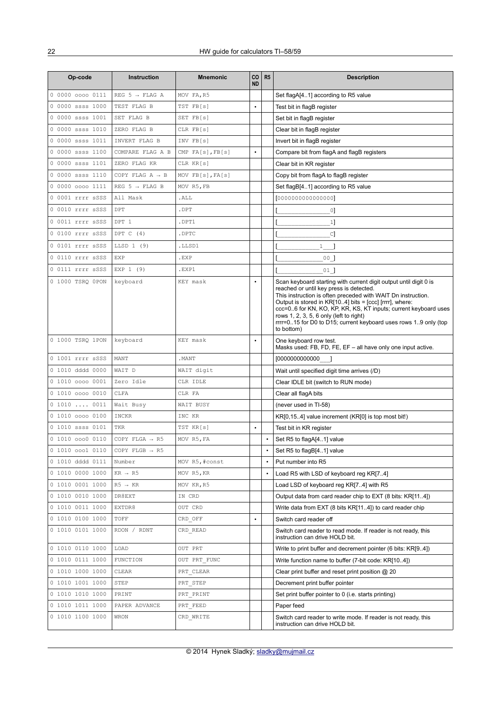| Op-code          | <b>Instruction</b>          | <b>Mnemonic</b>  | CO<br><b>ND</b> | R <sub>5</sub> | <b>Description</b>                                                                                                                                                                                                                                                                                                                                                                                                                         |  |
|------------------|-----------------------------|------------------|-----------------|----------------|--------------------------------------------------------------------------------------------------------------------------------------------------------------------------------------------------------------------------------------------------------------------------------------------------------------------------------------------------------------------------------------------------------------------------------------------|--|
| 0 0000 0000 0111 | REG 5 $\rightarrow$ FLAG A  | MOV FA, R5       |                 |                | Set flagA[41] according to R5 value                                                                                                                                                                                                                                                                                                                                                                                                        |  |
| 0 0000 ssss 1000 | TEST FLAG B                 | TST FB[s]        | $\bullet$       |                | Test bit in flagB register                                                                                                                                                                                                                                                                                                                                                                                                                 |  |
| 0 0000 ssss 1001 | SET FLAG B                  | SET FB[s]        |                 |                | Set bit in flagB register                                                                                                                                                                                                                                                                                                                                                                                                                  |  |
| 0 0000 ssss 1010 | ZERO FLAG B                 | CLR FB[s]        |                 |                | Clear bit in flagB register                                                                                                                                                                                                                                                                                                                                                                                                                |  |
| 0 0000 ssss 1011 | INVERT FLAG B               | INV FB[s]        |                 |                | Invert bit in flagB register                                                                                                                                                                                                                                                                                                                                                                                                               |  |
| 0 0000 ssss 1100 | COMPARE FLAG A B            | CMP FA[s], FB[s] | $\bullet$       |                | Compare bit from flagA and flagB registers                                                                                                                                                                                                                                                                                                                                                                                                 |  |
| 0 0000 ssss 1101 | ZERO FLAG KR                | CLR KR[s]        |                 |                | Clear bit in KR register                                                                                                                                                                                                                                                                                                                                                                                                                   |  |
| 0 0000 ssss 1110 | COPY FLAG $A \rightarrow B$ | MOV FB[s], FA[s] |                 |                | Copy bit from flagA to flagB register                                                                                                                                                                                                                                                                                                                                                                                                      |  |
| 0 0000 0000 1111 | REG $5 \rightarrow$ FLAG B  | MOV R5, FB       |                 |                | Set flagB[41] according to R5 value                                                                                                                                                                                                                                                                                                                                                                                                        |  |
| 0 0001 rrrr sSSS | All Mask                    | .ALL             |                 |                | [000000000000000]                                                                                                                                                                                                                                                                                                                                                                                                                          |  |
| 0 0010 rrrr sSSS | DPT                         | .DPT             |                 |                | $\circ$                                                                                                                                                                                                                                                                                                                                                                                                                                    |  |
| 0 0011 rrrr sSSS | DPT 1                       | .DPT1            |                 |                | 1]                                                                                                                                                                                                                                                                                                                                                                                                                                         |  |
| 0 0100 rrrr sSSS | DPT C (4)                   | .DPTC            |                 |                | C]                                                                                                                                                                                                                                                                                                                                                                                                                                         |  |
| 0 0101 rrrr sSSS | LLSD 1 (9)                  | .LLSD1           |                 |                | $\mathbf{1}$                                                                                                                                                                                                                                                                                                                                                                                                                               |  |
| 0 0110 rrrr sSSS | EXP                         | .EXP             |                 |                | 00 <sub>1</sub>                                                                                                                                                                                                                                                                                                                                                                                                                            |  |
| 0 0111 rrrr sSSS | EXP 1 (9)                   | .EXP1            |                 |                | $01$ ]                                                                                                                                                                                                                                                                                                                                                                                                                                     |  |
| 0 1000 TSRQ 0PON | keyboard                    | KEY mask         |                 |                | Scan keyboard starting with current digit output until digit 0 is<br>reached or until key press is detected.<br>This instruction is often preceded with WAIT Dn instruction.<br>Output is stored in $KR[104]$ bits = $[ccc]$ [rrrr], where:<br>ccc=06 for KN, KO, KP, KR, KS, KT inputs; current keyboard uses<br>rows 1, 2, 3, 5, 6 only (left to right)<br>rrrr=015 for D0 to D15; current keyboard uses rows 19 only (top<br>to bottom) |  |
| 0 1000 TSRQ 1PON | keyboard                    | KEY mask         | $\bullet$       |                | One keyboard row test.<br>Masks used: FB, FD, FE, EF - all have only one input active.                                                                                                                                                                                                                                                                                                                                                     |  |
| 0 1001 rrrr sSSS | MANT                        | . MANT           |                 |                | [0000000000000 ]                                                                                                                                                                                                                                                                                                                                                                                                                           |  |
| 0 1010 dddd 0000 | WAIT D                      | WAIT digit       |                 |                | Wait until specified digit time arrives (/D)                                                                                                                                                                                                                                                                                                                                                                                               |  |
| 0 1010 0000 0001 | Zero Idle                   | CLR IDLE         |                 |                | Clear IDLE bit (switch to RUN mode)                                                                                                                                                                                                                                                                                                                                                                                                        |  |
| 0 1010 0000 0010 | CLFA                        | CLR FA           |                 |                | Clear all flagA bits                                                                                                                                                                                                                                                                                                                                                                                                                       |  |
| 0 1010  0011     | Wait Busy                   | WAIT BUSY        |                 |                | (never used in TI-58)                                                                                                                                                                                                                                                                                                                                                                                                                      |  |
| 0 1010 0000 0100 | <b>INCKR</b>                | INC KR           |                 |                | KR[0,15.4] value increment (KR[0] is top most bit!)                                                                                                                                                                                                                                                                                                                                                                                        |  |
| 0 1010 ssss 0101 | TKR                         | TST KR[s]        | $\bullet$       |                | Test bit in KR register                                                                                                                                                                                                                                                                                                                                                                                                                    |  |
| 0 1010 0000 0110 | COPY FLGA $\rightarrow$ R5  | MOV R5, FA       |                 |                | Set R5 to flagA[41] value                                                                                                                                                                                                                                                                                                                                                                                                                  |  |
| 0 1010 0001 0110 | COPY FLGB $\rightarrow$ R5  |                  |                 |                | Set R5 to flagB[41] value                                                                                                                                                                                                                                                                                                                                                                                                                  |  |
| 0 1010 dddd 0111 | Number                      | MOV R5, #const   |                 | $\bullet$      | Put number into R5                                                                                                                                                                                                                                                                                                                                                                                                                         |  |
| 0 1010 0000 1000 | $KR \rightarrow R5$         | MOV R5, KR       |                 | $\bullet$      | Load R5 with LSD of keyboard reg KR[74]                                                                                                                                                                                                                                                                                                                                                                                                    |  |
| 0 1010 0001 1000 | $R5 \rightarrow KR$         | MOV KR, R5       |                 |                | Load LSD of keyboard reg KR[74] with R5                                                                                                                                                                                                                                                                                                                                                                                                    |  |
| 0 1010 0010 1000 | DR8EXT                      | IN CRD           |                 |                | Output data from card reader chip to EXT (8 bits: KR[11.4])                                                                                                                                                                                                                                                                                                                                                                                |  |
| 0 1010 0011 1000 | EXTDR8                      | OUT CRD          |                 |                | Write data from EXT (8 bits KR[114]) to card reader chip                                                                                                                                                                                                                                                                                                                                                                                   |  |
| 0 1010 0100 1000 | TOFF                        | CRD_OFF          | $\bullet$       |                | Switch card reader off                                                                                                                                                                                                                                                                                                                                                                                                                     |  |
| 0 1010 0101 1000 | RDON / RDNT                 | CRD READ         |                 |                | Switch card reader to read mode. If reader is not ready, this<br>instruction can drive HOLD bit.                                                                                                                                                                                                                                                                                                                                           |  |
| 0 1010 0110 1000 | LOAD                        | OUT PRT          |                 |                | Write to print buffer and decrement pointer (6 bits: KR[9.4])                                                                                                                                                                                                                                                                                                                                                                              |  |
| 0 1010 0111 1000 | FUNCTION                    | OUT PRT FUNC     |                 |                | Write function name to buffer (7-bit code: KR[104])                                                                                                                                                                                                                                                                                                                                                                                        |  |
| 0 1010 1000 1000 | CLEAR                       | PRT CLEAR        |                 |                | Clear print buffer and reset print position @ 20                                                                                                                                                                                                                                                                                                                                                                                           |  |
| 0 1010 1001 1000 | STEP                        | PRT STEP         |                 |                | Decrement print buffer pointer                                                                                                                                                                                                                                                                                                                                                                                                             |  |
| 0 1010 1010 1000 | PRINT                       | PRT PRINT        |                 |                | Set print buffer pointer to 0 (i.e. starts printing)                                                                                                                                                                                                                                                                                                                                                                                       |  |
| 0 1010 1011 1000 | PAPER ADVANCE               | PRT FEED         |                 |                | Paper feed                                                                                                                                                                                                                                                                                                                                                                                                                                 |  |
| 0 1010 1100 1000 | WRON                        | CRD WRITE        |                 |                | Switch card reader to write mode. If reader is not ready, this<br>instruction can drive HOLD bit.                                                                                                                                                                                                                                                                                                                                          |  |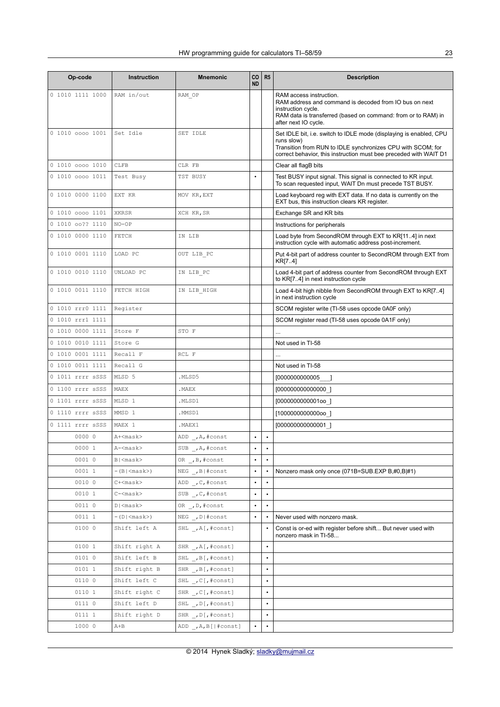| Op-code          | Instruction                       | <b>Mnemonic</b>         | CO<br><b>ND</b> | R <sub>5</sub> | <b>Description</b>                                                                                                                                                       |
|------------------|-----------------------------------|-------------------------|-----------------|----------------|--------------------------------------------------------------------------------------------------------------------------------------------------------------------------|
| 0 1010 1111 1000 | RAM in/out                        | RAM OP                  |                 |                | RAM access instruction.<br>RAM address and command is decoded from IO bus on next<br>instruction cycle.<br>RAM data is transferred (based on command: from or to RAM) in |
| 0 1010 0000 1001 | Set Idle                          | SET IDLE                |                 |                | after next IO cycle.<br>Set IDLE bit, i.e. switch to IDLE mode (displaying is enabled, CPU                                                                               |
|                  |                                   |                         |                 |                | runs slow)<br>Transition from RUN to IDLE synchronizes CPU with SCOM; for<br>correct behavior, this instruction must bee preceded with WAIT D1                           |
| 0 1010 0000 1010 | CLFB                              | CLR FB                  |                 |                | Clear all flagB bits                                                                                                                                                     |
| 0 1010 0000 1011 | Test Busy                         | TST BUSY                | $\bullet$       |                | Test BUSY input signal. This signal is connected to KR input.<br>To scan requested input, WAIT Dn must precede TST BUSY.                                                 |
| 0 1010 0000 1100 | EXT KR                            | MOV KR, EXT             |                 |                | Load keyboard reg with EXT data. If no data is currently on the<br>EXT bus, this instruction clears KR register.                                                         |
| 0 1010 0000 1101 | XKRSR                             | XCH KR, SR              |                 |                | Exchange SR and KR bits                                                                                                                                                  |
| 0 1010 00?? 1110 | $NO-OP$                           |                         |                 |                | Instructions for peripherals                                                                                                                                             |
| 0 1010 0000 1110 | FETCH                             | IN LIB                  |                 |                | Load byte from SecondROM through EXT to KR[114] in next<br>instruction cycle with automatic address post-increment.                                                      |
| 0 1010 0001 1110 | LOAD PC                           | OUT LIB PC              |                 |                | Put 4-bit part of address counter to SecondROM through EXT from<br>KR[7.4]                                                                                               |
| 0 1010 0010 1110 | UNLOAD PC                         | IN LIB PC               |                 |                | Load 4-bit part of address counter from SecondROM through EXT<br>to KR[74] in next instruction cycle                                                                     |
| 0 1010 0011 1110 | FETCH HIGH                        | IN LIB HIGH             |                 |                | Load 4-bit high nibble from SecondROM through EXT to KR[74]<br>in next instruction cycle                                                                                 |
| 0 1010 rrr0 1111 | Register                          |                         |                 |                | SCOM register write (TI-58 uses opcode 0A0F only)                                                                                                                        |
| 0 1010 rrr1 1111 |                                   |                         |                 |                | SCOM register read (TI-58 uses opcode 0A1F only)                                                                                                                         |
| 0 1010 0000 1111 | Store F                           | STO F                   |                 |                |                                                                                                                                                                          |
| 0 1010 0010 1111 | Store G                           |                         |                 |                | Not used in TI-58                                                                                                                                                        |
| 0 1010 0001 1111 | Recall F                          | RCL F                   |                 |                |                                                                                                                                                                          |
| 0 1010 0011 1111 | Recall G                          |                         |                 |                | Not used in TI-58                                                                                                                                                        |
| 0 1011 rrrr sSSS | MLSD 5                            | .MLSD5                  |                 |                | [000000000005                                                                                                                                                            |
| 0 1100 rrrr sSSS | MAEX                              | . MAEX                  |                 |                | [00000000000000 ]                                                                                                                                                        |
| 0 1101 rrrr sSSS | MLSD 1                            | .MLSD1                  |                 |                | [000000000001oo ]                                                                                                                                                        |
| 0 1110 rrrr sSSS | MMSD 1                            | .MMSD1                  |                 |                | [100000000000000]                                                                                                                                                        |
| 0 1111 rrrr sSSS | MAEX 1                            | .MAEX1                  |                 |                | [00000000000001]                                                                                                                                                         |
| 0000 0           | $A+<$ mask>                       | ADD , A, #const         | $\bullet$       | $\bullet$      |                                                                                                                                                                          |
| 0000 1           | A- <mask></mask>                  | SUB _, A, #const        |                 |                |                                                                                                                                                                          |
| 0001 0           | B  <mask></mask>                  | OR , B, #const          |                 |                |                                                                                                                                                                          |
| 0001 1           | $-(B \langle \text{mask}\rangle)$ | $NEG _{ }$ , B   #const | $\bullet$       |                | Nonzero mask only once (071B=SUB.EXP B,#0,B#1)                                                                                                                           |
| 0010 0           | $C+<$ mask>                       | ADD , C, #const         | $\bullet$       | $\bullet$      |                                                                                                                                                                          |
| 0010 1           | $C-<$ mask>                       | SUB , C, #const         | $\bullet$       | $\bullet$      |                                                                                                                                                                          |
| 0011 0           | $D \leq$ mask $>$                 | OR , D, #const          | $\bullet$       |                |                                                                                                                                                                          |
| 0011 1           | $-(D \langle \text{mask}\rangle)$ | $NEG_{}$ , D #const     | $\bullet$       |                | Never used with nonzero mask.                                                                                                                                            |
| 0100 0           | Shift left A                      | SHL _, A[, #const]      |                 |                | Const is or-ed with register before shift But never used with<br>nonzero mask in TI-58                                                                                   |
| 0100 1           | Shift right A                     | SHR , A[, #const]       |                 | $\bullet$      |                                                                                                                                                                          |
| 0101 0           | Shift left B                      | SHL , B[, #const]       |                 | $\bullet$      |                                                                                                                                                                          |
| 0101 1           | Shift right B                     | SHR , B[, #const]       |                 | $\bullet$      |                                                                                                                                                                          |
| 0110 0           | Shift left C                      | SHL , C[, #const]       |                 |                |                                                                                                                                                                          |
| 0110 1           | Shift right C                     | SHR , C[, #const]       |                 | $\bullet$      |                                                                                                                                                                          |
| 0111 0           | Shift left D                      | SHL , D[, #const]       |                 | $\bullet$      |                                                                                                                                                                          |
| 0111 1           | Shift right D                     | SHR , D[, #const]       |                 | $\bullet$      |                                                                                                                                                                          |
| 1000 0           | $A + B$                           | ADD _, A, B[ #const]    | $\bullet$       |                |                                                                                                                                                                          |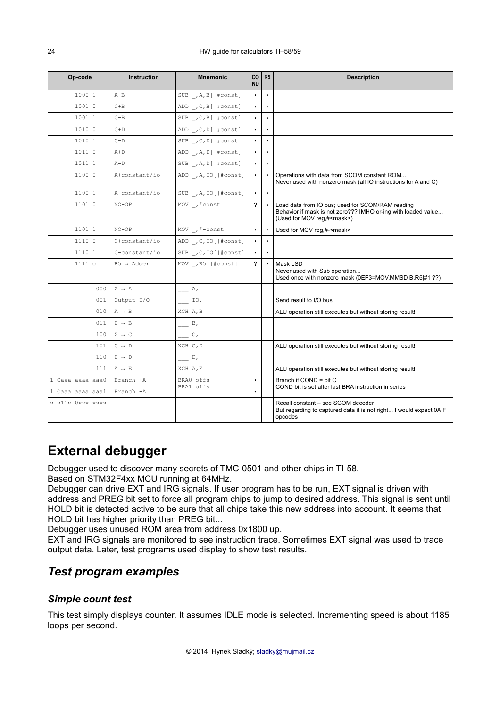| Op-code          | <b>Instruction</b>            | <b>Mnemonic</b>              | CO<br><b>ND</b> | R5                                                                                                                  | <b>Description</b>                                                                                                                                      |  |
|------------------|-------------------------------|------------------------------|-----------------|---------------------------------------------------------------------------------------------------------------------|---------------------------------------------------------------------------------------------------------------------------------------------------------|--|
| 1000 1           | $A - B$                       | SUB , A, B[ #const]          | $\bullet$       | $\bullet$                                                                                                           |                                                                                                                                                         |  |
| 1001 0           | $C + B$                       | $ADD \_, C, B$ [ #const]     | $\bullet$       | $\bullet$                                                                                                           |                                                                                                                                                         |  |
| 1001 1           | $C - B$                       | SUB , C, B[ #const]          | $\bullet$       | $\bullet$                                                                                                           |                                                                                                                                                         |  |
| 1010 0           | $C+D$                         | ADD _, C, D[ #const]         | $\bullet$       | $\bullet$                                                                                                           |                                                                                                                                                         |  |
| 1010 1           | $C-D$                         | SUB , C, D[ #const]          | $\bullet$       | $\bullet$                                                                                                           |                                                                                                                                                         |  |
| 1011 0           | $A+D$                         | ADD , A, D[ #const]          | $\bullet$       | $\bullet$                                                                                                           |                                                                                                                                                         |  |
| 1011 1           | $A-D$                         | SUB $\angle$ , A, D[ #const] | $\bullet$       | $\bullet$                                                                                                           |                                                                                                                                                         |  |
| 1100 0           | A+constant/io                 | ADD, A, IO[ #const]          | $\bullet$       | $\bullet$                                                                                                           | Operations with data from SCOM constant ROM<br>Never used with nonzero mask (all IO instructions for A and C)                                           |  |
| 1100 1           | A-constant/io                 | SUB , A, IO[ #const]         | $\bullet$       | $\bullet$                                                                                                           |                                                                                                                                                         |  |
| 1101 0           | $NO-OP$                       | MOV , #const                 | $\overline{?}$  |                                                                                                                     | Load data from IO bus; used for SCOM/RAM reading<br>Behavior if mask is not zero??? IMHO or-ing with loaded value<br>(Used for MOV reg,# <mask>)</mask> |  |
| 1101 1           | $NO-OP$                       | MOV _, $\#$ -const           | $\bullet$       | $\bullet$                                                                                                           | Used for MOV reg,#- <mask></mask>                                                                                                                       |  |
| 1110 0           | C+constant/io                 | ADD , C, IO[ #const]         | $\bullet$       | $\bullet$                                                                                                           |                                                                                                                                                         |  |
| 1110 1           | C-constant/io                 | SUB , C, IO[ #const]         | $\bullet$       | $\bullet$                                                                                                           |                                                                                                                                                         |  |
| 1111o            | $R5 \rightarrow \text{Adder}$ | MOV , R5[ #const]            | $\overline{?}$  | $\bullet$                                                                                                           | Mask LSD<br>Never used with Sub operation<br>Used once with nonzero mask (0EF3=MOV.MMSD B,R5#1 ??)                                                      |  |
| 000              | $\Sigma \rightarrow A$        | Α,                           |                 |                                                                                                                     |                                                                                                                                                         |  |
| 001              | Output I/O                    | IO,                          |                 |                                                                                                                     | Send result to I/O bus                                                                                                                                  |  |
| 010              | $A \leftrightarrow B$         | XCH A, B                     |                 |                                                                                                                     | ALU operation still executes but without storing result!                                                                                                |  |
| 011              | $\Sigma \ \to \ B$            | $\mathbb{B}$ ,               |                 |                                                                                                                     |                                                                                                                                                         |  |
| 100              | $\Sigma \rightarrow C$        | $C_{I}$                      |                 |                                                                                                                     |                                                                                                                                                         |  |
| 101              | $C \leftrightarrow D$         | XCH C, D                     |                 |                                                                                                                     | ALU operation still executes but without storing result!                                                                                                |  |
| 110              | $\Sigma \rightarrow D$        | $D_{\ell}$                   |                 |                                                                                                                     |                                                                                                                                                         |  |
| 111              | A $\leftrightarrow$ E         | XCH A, E                     |                 |                                                                                                                     | ALU operation still executes but without storing result!                                                                                                |  |
| 1 Caaa aaaa aaa0 | Branch +A                     | BRA0 offs                    | $\bullet$       |                                                                                                                     | Branch if COND = bit C                                                                                                                                  |  |
| 1 Caaa aaaa aaa1 | Branch -A                     | BRA1 offs                    | $\bullet$       |                                                                                                                     | COND bit is set after last BRA instruction in series                                                                                                    |  |
| x x11x Oxxx xxxx |                               |                              |                 | Recall constant - see SCOM decoder<br>But regarding to captured data it is not right I would expect 0A.F<br>opcodes |                                                                                                                                                         |  |

# **External debugger**

Debugger used to discover many secrets of TMC-0501 and other chips in TI-58.

Based on STM32F4xx MCU running at 64MHz.

Debugger can drive EXT and IRG signals. If user program has to be run, EXT signal is driven with address and PREG bit set to force all program chips to jump to desired address. This signal is sent until HOLD bit is detected active to be sure that all chips take this new address into account. It seems that HOLD bit has higher priority than PREG bit...

Debugger uses unused ROM area from address 0x1800 up.

EXT and IRG signals are monitored to see instruction trace. Sometimes EXT signal was used to trace output data. Later, test programs used display to show test results.

### *Test program examples*

#### *Simple count test*

This test simply displays counter. It assumes IDLE mode is selected. Incrementing speed is about 1185 loops per second.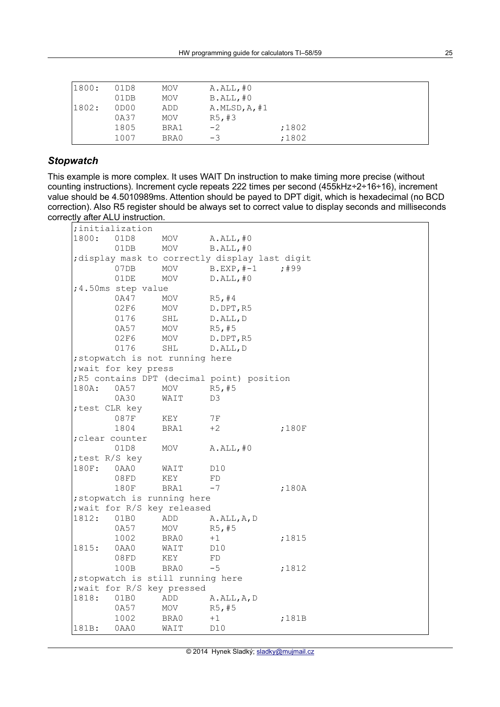| 1800: | 01D8 | MOV        | $A.ALL$ ,#0    |       |  |
|-------|------|------------|----------------|-------|--|
|       | 01DB | <b>MOV</b> | $B.ALL$ , $#0$ |       |  |
| 1802: | 0D00 | ADD        | A.MLSD, A, #1  |       |  |
|       | 0A37 | <b>MOV</b> | R5, #3         |       |  |
|       | 1805 | BRA1       | $-2$           | ;1802 |  |
|       | 1007 | BRA0       | $-3$           | ;1802 |  |

### *Stopwatch*

This example is more complex. It uses WAIT Dn instruction to make timing more precise (without counting instructions). Increment cycle repeats 222 times per second (455kHz÷2÷16÷16), increment value should be 4.5010989ms. Attention should be payed to DPT digit, which is hexadecimal (no BCD correction). Also R5 register should be always set to correct value to display seconds and milliseconds correctly after ALU instruction.

| ;initialization |                |                      |                                   |                                                |       |  |  |  |  |
|-----------------|----------------|----------------------|-----------------------------------|------------------------------------------------|-------|--|--|--|--|
|                 | 1800:          | 01D8                 | MOV                               | $A.ALL$ , $#0$                                 |       |  |  |  |  |
|                 |                | 01DB                 | MOV                               | $B.ALL$ , $#0$                                 |       |  |  |  |  |
|                 |                |                      |                                   | ; display mask to correctly display last digit |       |  |  |  |  |
|                 |                | 07DB                 | MOV                               | $B.EXP, #-1$                                   | ; 499 |  |  |  |  |
|                 |                | 01DE                 | MOV                               | $D.ALL$ , #0                                   |       |  |  |  |  |
|                 |                | ;4.50ms step value   |                                   |                                                |       |  |  |  |  |
|                 |                | 0A47                 | MOV                               | R5, #4                                         |       |  |  |  |  |
|                 |                | 02F6                 | MOV                               | D.DPT, R5                                      |       |  |  |  |  |
|                 |                | 0176                 | SHL                               | D.ALL, D                                       |       |  |  |  |  |
|                 |                | 0A57                 | MOV                               | R5, #5                                         |       |  |  |  |  |
|                 |                | 02F6                 | MOV                               | D.DPT, R5                                      |       |  |  |  |  |
|                 |                | 0176                 | SHL                               | D.ALL, D                                       |       |  |  |  |  |
|                 |                |                      | ; stopwatch is not running here   |                                                |       |  |  |  |  |
|                 |                | ; wait for key press |                                   |                                                |       |  |  |  |  |
|                 |                |                      |                                   | ; R5 contains DPT (decimal point) position     |       |  |  |  |  |
|                 | 180A:          | 0A57                 | MOV                               | R5, #5                                         |       |  |  |  |  |
|                 |                | 0A30                 | WAIT                              | D3                                             |       |  |  |  |  |
|                 | ; test CLR key |                      |                                   |                                                |       |  |  |  |  |
|                 |                | 087F                 | KEY                               | $7\,\mathrm{F}$                                |       |  |  |  |  |
|                 |                | 1804                 | BRA1                              | $+2$                                           | ;180F |  |  |  |  |
|                 | ;clear counter |                      |                                   |                                                |       |  |  |  |  |
|                 |                | 01D8                 | MOV                               | $A.ALL$ , #0                                   |       |  |  |  |  |
|                 | ; test R/S key |                      |                                   |                                                |       |  |  |  |  |
|                 | 180F:          | 0AA0                 | WAIT                              | D <sub>10</sub>                                |       |  |  |  |  |
|                 |                | 08FD                 | KEY                               | FD                                             |       |  |  |  |  |
|                 |                | 180F                 | BRA1                              | $-7$                                           | ;180A |  |  |  |  |
|                 |                |                      | ; stopwatch is running here       |                                                |       |  |  |  |  |
|                 | 1812:          |                      | ; wait for R/S key released       |                                                |       |  |  |  |  |
|                 |                | 01B0<br>0A57         | ADD<br>MOV                        | A.ALL, A, D<br>R5, #5                          |       |  |  |  |  |
|                 |                | 1002                 | BRA0                              | $+1$                                           | ;1815 |  |  |  |  |
|                 | 1815:          | 0AA0                 | WAIT                              | D10                                            |       |  |  |  |  |
|                 |                | 08FD                 | KEY                               | FD                                             |       |  |  |  |  |
|                 |                | 100B                 | BRA0                              | $-5$                                           | ;1812 |  |  |  |  |
|                 |                |                      | ; stopwatch is still running here |                                                |       |  |  |  |  |
|                 |                |                      | ; wait for R/S key pressed        |                                                |       |  |  |  |  |
|                 | 1818:          | 01B0                 | ADD                               | A.ALL, A, D                                    |       |  |  |  |  |
|                 |                | 0A57                 | MOV                               | R5, #5                                         |       |  |  |  |  |
|                 |                | 1002                 | BRA0                              | $+1$                                           | ;181B |  |  |  |  |
|                 | 181B:          | 0AA0                 | WAIT                              | D <sub>10</sub>                                |       |  |  |  |  |
|                 |                |                      |                                   |                                                |       |  |  |  |  |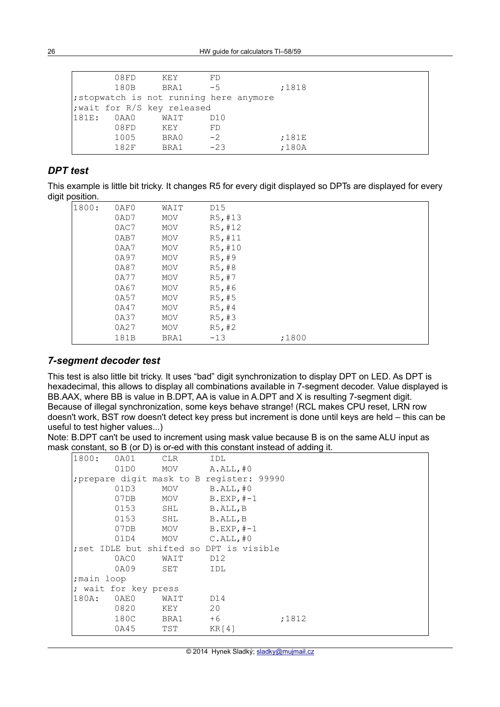|       | 08FD | KEY                                     | FD    |       |  |
|-------|------|-----------------------------------------|-------|-------|--|
|       | 180B | BRA1                                    | $-5$  | ;1818 |  |
|       |      | ; stopwatch is not running here anymore |       |       |  |
|       |      | ; wait for R/S key released             |       |       |  |
| 181E: | 0AA0 | WAIT                                    | D10   |       |  |
|       | 08FD | KEY                                     | FD    |       |  |
|       | 1005 | BRA0                                    | $-2$  | ;181E |  |
|       | 182F | BRA1                                    | $-23$ | ;180A |  |

#### *DPT test*

This example is little bit tricky. It changes R5 for every digit displayed so DPTs are displayed for every digit position.

| 1800: | 0AF0 | WAIT       | D15     |       |  |
|-------|------|------------|---------|-------|--|
|       | 0AD7 | MOV        | R5, #13 |       |  |
|       | 0AC7 | MOV        | R5, #12 |       |  |
|       | 0AB7 | MOV        | R5,#11  |       |  |
|       | 0AA7 | MOV        | R5,#10  |       |  |
|       | 0A97 | MOV        | R5, #9  |       |  |
|       | 0A87 | MOV        | R5, #8  |       |  |
|       | 0A77 | <b>MOV</b> | R5, #7  |       |  |
|       | 0A67 | MOV        | R5, #6  |       |  |
|       | 0A57 | MOV        | R5, #5  |       |  |
|       | 0A47 | MOV        | R5, #4  |       |  |
|       | 0A37 | MOV        | R5, #3  |       |  |
|       | 0A27 | MOV        | R5, #2  |       |  |
|       | 181B | BRA1       | $-13$   | ;1800 |  |
|       |      |            |         |       |  |

#### *7-segment decoder test*

This test is also little bit tricky. It uses "bad" digit synchronization to display DPT on LED. As DPT is hexadecimal, this allows to display all combinations available in 7-segment decoder. Value displayed is BB.AAX, where BB is value in B.DPT, AA is value in A.DPT and X is resulting 7-segment digit. Because of illegal synchronization, some keys behave strange! (RCL makes CPU reset, LRN row doesn't work, BST row doesn't detect key press but increment is done until keys are held – this can be useful to test higher values...)

Note: B.DPT can't be used to increment using mask value because B is on the same ALU input as mask constant, so B (or D) is or-ed with this constant instead of adding it.

| 1800:                | 0A01       | <b>CLR</b> | IDL                                       |       |  |  |
|----------------------|------------|------------|-------------------------------------------|-------|--|--|
|                      | 01D0       | MOV        | A.ALL,#0                                  |       |  |  |
|                      |            |            | ; prepare digit mask to B register: 99990 |       |  |  |
|                      | 01D3       | MOV        | $B.ALL$ , $#0$                            |       |  |  |
|                      | 07DB       | MOV        | $B.EXP, #-1$                              |       |  |  |
|                      | 0153       | SHL        | B.ALL, B                                  |       |  |  |
|                      | 0153       | SHL        | B.ALL, B                                  |       |  |  |
|                      | 07DB       | MOV        | $B.EXP, #-1$                              |       |  |  |
|                      | 01D4       |            | MOV C.ALL, #0                             |       |  |  |
|                      |            |            | ; set IDLE but shifted so DPT is visible  |       |  |  |
|                      | 0AC0       | WAIT       | D12                                       |       |  |  |
|                      | 0A09       | SET        | IDL                                       |       |  |  |
|                      | ;main loop |            |                                           |       |  |  |
| ; wait for key press |            |            |                                           |       |  |  |
| 180A:                | 0AE0       | WAIT       | D14                                       |       |  |  |
|                      | 0820       | KEY        | 20                                        |       |  |  |
|                      | 180C       | BRA1       | $+6$                                      | ;1812 |  |  |
|                      | 0A45       | TST        | KR[4]                                     |       |  |  |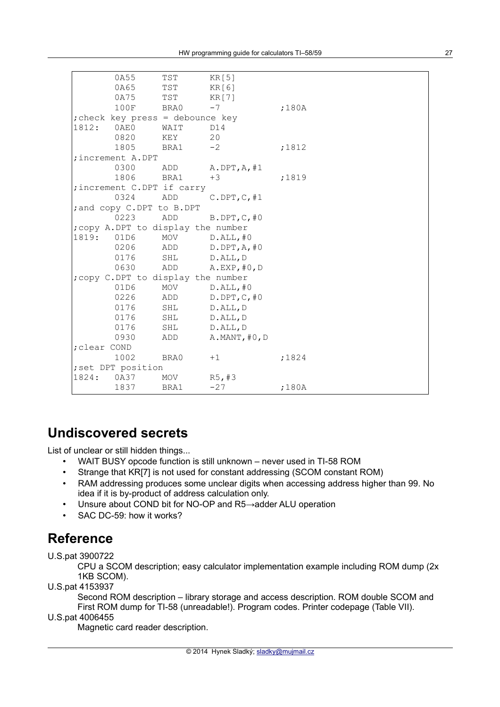|                                    |                           | 0A55                             | TST  | KR[5]          |       |  |  |
|------------------------------------|---------------------------|----------------------------------|------|----------------|-------|--|--|
|                                    |                           | 0A65                             | TST  | KR[6]          |       |  |  |
|                                    |                           | 0A75                             | TST  | KR[7]          |       |  |  |
|                                    |                           | 100F                             | BRA0 | $-7$           | ;180A |  |  |
|                                    |                           | ; check key press = debounce key |      |                |       |  |  |
|                                    | 1812:                     | 0AE0                             | WAIT | D14            |       |  |  |
|                                    |                           | 0820                             | KEY  | 20             |       |  |  |
|                                    |                           | 1805                             | BRA1 | $-2$           | ;1812 |  |  |
| ; increment A.DPT                  |                           |                                  |      |                |       |  |  |
|                                    |                           | 0300                             | ADD  | A.DPT, A, #1   |       |  |  |
|                                    |                           | 1806                             | BRA1 | $+3$           | ;1819 |  |  |
| ; increment C.DPT if carry         |                           |                                  |      |                |       |  |  |
|                                    |                           | 0324                             | ADD  | C.DPT, C, #1   |       |  |  |
|                                    | ; and copy C.DPT to B.DPT |                                  |      |                |       |  |  |
|                                    |                           | 0223                             | ADD  | B.DPT, C, #0   |       |  |  |
| ; copy A.DPT to display the number |                           |                                  |      |                |       |  |  |
|                                    | 1819: 01D6                |                                  | MOV  | $D.ALL$ , $#0$ |       |  |  |
|                                    |                           | 0206                             | ADD  | D.DPT, A, #0   |       |  |  |
|                                    |                           | 0176                             | SHL  | D.ALL, D       |       |  |  |
|                                    |                           | 0630                             | ADD  | A.EXP, #0, D   |       |  |  |
| ; copy C.DPT to display the number |                           |                                  |      |                |       |  |  |
|                                    |                           | 01D6                             | MOV  | $D.ALL$ , #0   |       |  |  |
|                                    |                           | 0226                             | ADD  | D.DPT, C, #0   |       |  |  |
|                                    |                           | 0176                             | SHL  | D.ALL, D       |       |  |  |
|                                    |                           | 0176                             | SHL  | D.ALL, D       |       |  |  |
|                                    |                           | 0176                             | SHL  | D.ALL, D       |       |  |  |
|                                    |                           | 0930                             | ADD  | A.MANT, #0, D  |       |  |  |
|                                    | ; clear COND              |                                  |      |                |       |  |  |
|                                    |                           | 1002                             | BRA0 | $+1$           | ;1824 |  |  |
| ; set DPT position                 |                           |                                  |      |                |       |  |  |
|                                    | 1824:                     | 0A37                             | MOV  | R5, #3         |       |  |  |
|                                    |                           | 1837                             | BRA1 | $-27$          | ;180A |  |  |
|                                    |                           |                                  |      |                |       |  |  |

# **Undiscovered secrets**

List of unclear or still hidden things...

- WAIT BUSY opcode function is still unknown never used in TI-58 ROM
- Strange that KR[7] is not used for constant addressing (SCOM constant ROM)
- RAM addressing produces some unclear digits when accessing address higher than 99. No idea if it is by-product of address calculation only.
- Unsure about COND bit for NO-OP and R5→adder ALU operation
- SAC DC-59: how it works?

# **Reference**

U.S.pat 3900722

CPU a SCOM description; easy calculator implementation example including ROM dump (2x 1KB SCOM).

U.S.pat 4153937

Second ROM description – library storage and access description. ROM double SCOM and First ROM dump for TI-58 (unreadable!). Program codes. Printer codepage (Table VII).

U.S.pat 4006455

Magnetic card reader description.